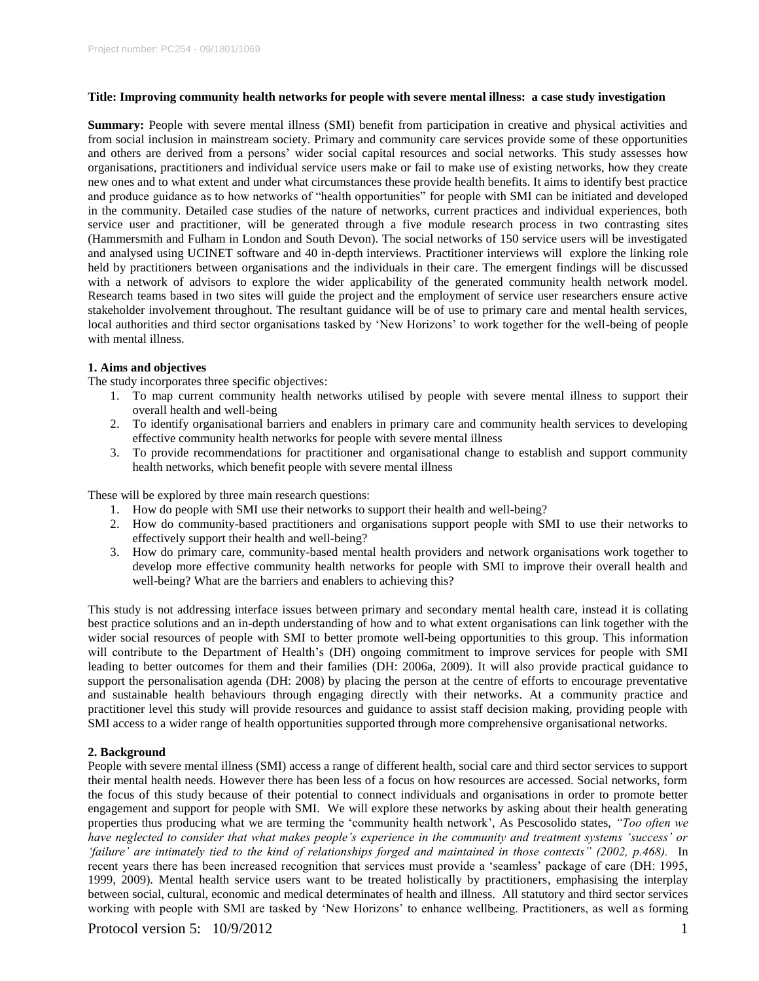#### **Title: Improving community health networks for people with severe mental illness: a case study investigation**

**Summary:** People with severe mental illness (SMI) benefit from participation in creative and physical activities and from social inclusion in mainstream society. Primary and community care services provide some of these opportunities and others are derived from a persons' wider social capital resources and social networks. This study assesses how organisations, practitioners and individual service users make or fail to make use of existing networks, how they create new ones and to what extent and under what circumstances these provide health benefits. It aims to identify best practice and produce guidance as to how networks of "health opportunities" for people with SMI can be initiated and developed in the community. Detailed case studies of the nature of networks, current practices and individual experiences, both service user and practitioner, will be generated through a five module research process in two contrasting sites (Hammersmith and Fulham in London and South Devon). The social networks of 150 service users will be investigated and analysed using UCINET software and 40 in-depth interviews. Practitioner interviews will explore the linking role held by practitioners between organisations and the individuals in their care. The emergent findings will be discussed with a network of advisors to explore the wider applicability of the generated community health network model. Research teams based in two sites will guide the project and the employment of service user researchers ensure active stakeholder involvement throughout. The resultant guidance will be of use to primary care and mental health services, local authorities and third sector organisations tasked by 'New Horizons' to work together for the well-being of people with mental illness.

# **1. Aims and objectives**

The study incorporates three specific objectives:

- 1. To map current community health networks utilised by people with severe mental illness to support their overall health and well-being
- 2. To identify organisational barriers and enablers in primary care and community health services to developing effective community health networks for people with severe mental illness
- 3. To provide recommendations for practitioner and organisational change to establish and support community health networks, which benefit people with severe mental illness

These will be explored by three main research questions:

- 1. How do people with SMI use their networks to support their health and well-being?
- 2. How do community-based practitioners and organisations support people with SMI to use their networks to effectively support their health and well-being?
- 3. How do primary care, community-based mental health providers and network organisations work together to develop more effective community health networks for people with SMI to improve their overall health and well-being? What are the barriers and enablers to achieving this?

This study is not addressing interface issues between primary and secondary mental health care, instead it is collating best practice solutions and an in-depth understanding of how and to what extent organisations can link together with the wider social resources of people with SMI to better promote well-being opportunities to this group. This information will contribute to the Department of Health's (DH) ongoing commitment to improve services for people with SMI leading to better outcomes for them and their families (DH: 2006a, 2009). It will also provide practical guidance to support the personalisation agenda (DH: 2008) by placing the person at the centre of efforts to encourage preventative and sustainable health behaviours through engaging directly with their networks. At a community practice and practitioner level this study will provide resources and guidance to assist staff decision making, providing people with SMI access to a wider range of health opportunities supported through more comprehensive organisational networks.

### **2. Background**

People with severe mental illness (SMI) access a range of different health, social care and third sector services to support their mental health needs. However there has been less of a focus on how resources are accessed. Social networks, form the focus of this study because of their potential to connect individuals and organisations in order to promote better engagement and support for people with SMI. We will explore these networks by asking about their health generating properties thus producing what we are terming the 'community health network', As Pescosolido states, *"Too often we have neglected to consider that what makes people's experience in the community and treatment systems 'success' or 'failure' are intimately tied to the kind of relationships forged and maintained in those contexts" (2002, p.468).* In recent years there has been increased recognition that services must provide a 'seamless' package of care (DH: 1995, 1999, 2009). Mental health service users want to be treated holistically by practitioners, emphasising the interplay between social, cultural, economic and medical determinates of health and illness. All statutory and third sector services working with people with SMI are tasked by 'New Horizons' to enhance wellbeing. Practitioners, as well as forming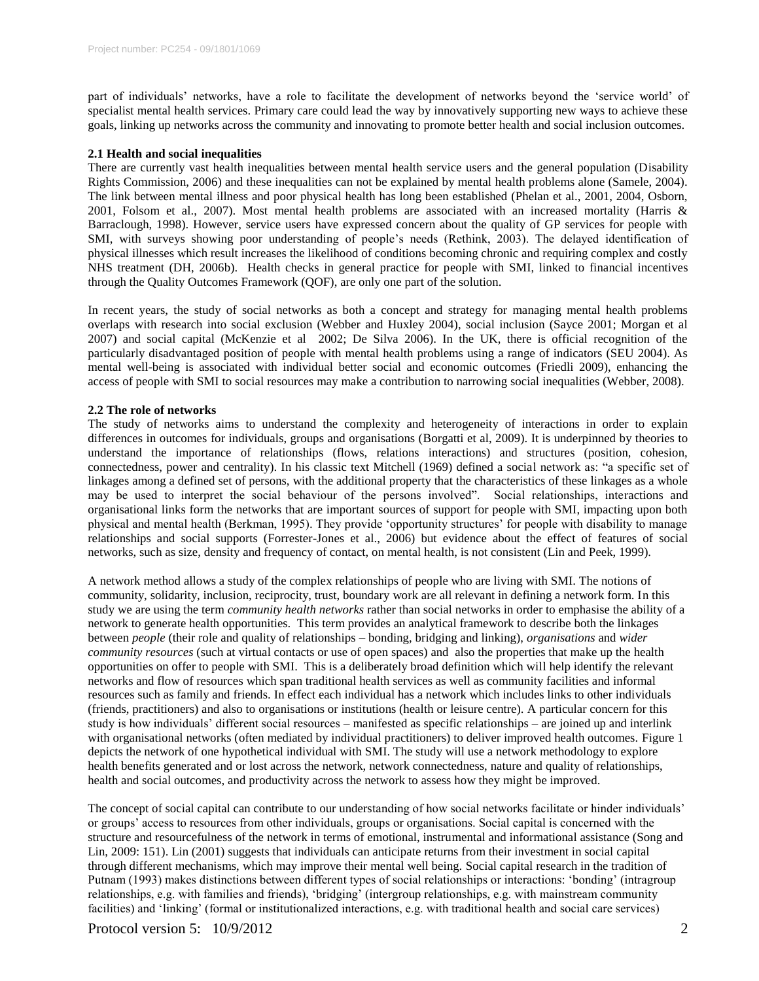part of individuals' networks, have a role to facilitate the development of networks beyond the 'service world' of specialist mental health services. Primary care could lead the way by innovatively supporting new ways to achieve these goals, linking up networks across the community and innovating to promote better health and social inclusion outcomes.

## **2.1 Health and social inequalities**

There are currently vast health inequalities between mental health service users and the general population (Disability Rights Commission, 2006) and these inequalities can not be explained by mental health problems alone (Samele, 2004). The link between mental illness and poor physical health has long been established (Phelan et al., 2001, 2004, Osborn, 2001, Folsom et al., 2007). Most mental health problems are associated with an increased mortality (Harris & Barraclough, 1998). However, service users have expressed concern about the quality of GP services for people with SMI, with surveys showing poor understanding of people's needs (Rethink, 2003). The delayed identification of physical illnesses which result increases the likelihood of conditions becoming chronic and requiring complex and costly NHS treatment (DH, 2006b). Health checks in general practice for people with SMI, linked to financial incentives through the Quality Outcomes Framework (QOF), are only one part of the solution.

In recent years, the study of social networks as both a concept and strategy for managing mental health problems overlaps with research into social exclusion (Webber and Huxley 2004), social inclusion (Sayce 2001; Morgan et al 2007) and social capital (McKenzie et al 2002; De Silva 2006). In the UK, there is official recognition of the particularly disadvantaged position of people with mental health problems using a range of indicators (SEU 2004). As mental well-being is associated with individual better social and economic outcomes (Friedli 2009), enhancing the access of people with SMI to social resources may make a contribution to narrowing social inequalities (Webber, 2008).

### **2.2 The role of networks**

The study of networks aims to understand the complexity and heterogeneity of interactions in order to explain differences in outcomes for individuals, groups and organisations (Borgatti et al, 2009). It is underpinned by theories to understand the importance of relationships (flows, relations interactions) and structures (position, cohesion, connectedness, power and centrality). In his classic text Mitchell (1969) defined a social network as: "a specific set of linkages among a defined set of persons, with the additional property that the characteristics of these linkages as a whole may be used to interpret the social behaviour of the persons involved". Social relationships, interactions and organisational links form the networks that are important sources of support for people with SMI, impacting upon both physical and mental health (Berkman, 1995). They provide 'opportunity structures' for people with disability to manage relationships and social supports (Forrester-Jones et al., 2006) but evidence about the effect of features of social networks, such as size, density and frequency of contact, on mental health, is not consistent (Lin and Peek, 1999).

A network method allows a study of the complex relationships of people who are living with SMI. The notions of community, solidarity, inclusion, reciprocity, trust, boundary work are all relevant in defining a network form. In this study we are using the term *community health networks* rather than social networks in order to emphasise the ability of a network to generate health opportunities. This term provides an analytical framework to describe both the linkages between *people* (their role and quality of relationships – bonding, bridging and linking), *organisations* and *wider community resources* (such at virtual contacts or use of open spaces) and also the properties that make up the health opportunities on offer to people with SMI. This is a deliberately broad definition which will help identify the relevant networks and flow of resources which span traditional health services as well as community facilities and informal resources such as family and friends. In effect each individual has a network which includes links to other individuals (friends, practitioners) and also to organisations or institutions (health or leisure centre). A particular concern for this study is how individuals' different social resources – manifested as specific relationships – are joined up and interlink with organisational networks (often mediated by individual practitioners) to deliver improved health outcomes. Figure 1 depicts the network of one hypothetical individual with SMI. The study will use a network methodology to explore health benefits generated and or lost across the network, network connectedness, nature and quality of relationships, health and social outcomes, and productivity across the network to assess how they might be improved.

The concept of social capital can contribute to our understanding of how social networks facilitate or hinder individuals' or groups' access to resources from other individuals, groups or organisations. Social capital is concerned with the structure and resourcefulness of the network in terms of emotional, instrumental and informational assistance (Song and Lin, 2009: 151). Lin (2001) suggests that individuals can anticipate returns from their investment in social capital through different mechanisms, which may improve their mental well being. Social capital research in the tradition of Putnam (1993) makes distinctions between different types of social relationships or interactions: 'bonding' (intragroup relationships, e.g. with families and friends), 'bridging' (intergroup relationships, e.g. with mainstream community facilities) and 'linking' (formal or institutionalized interactions, e.g. with traditional health and social care services)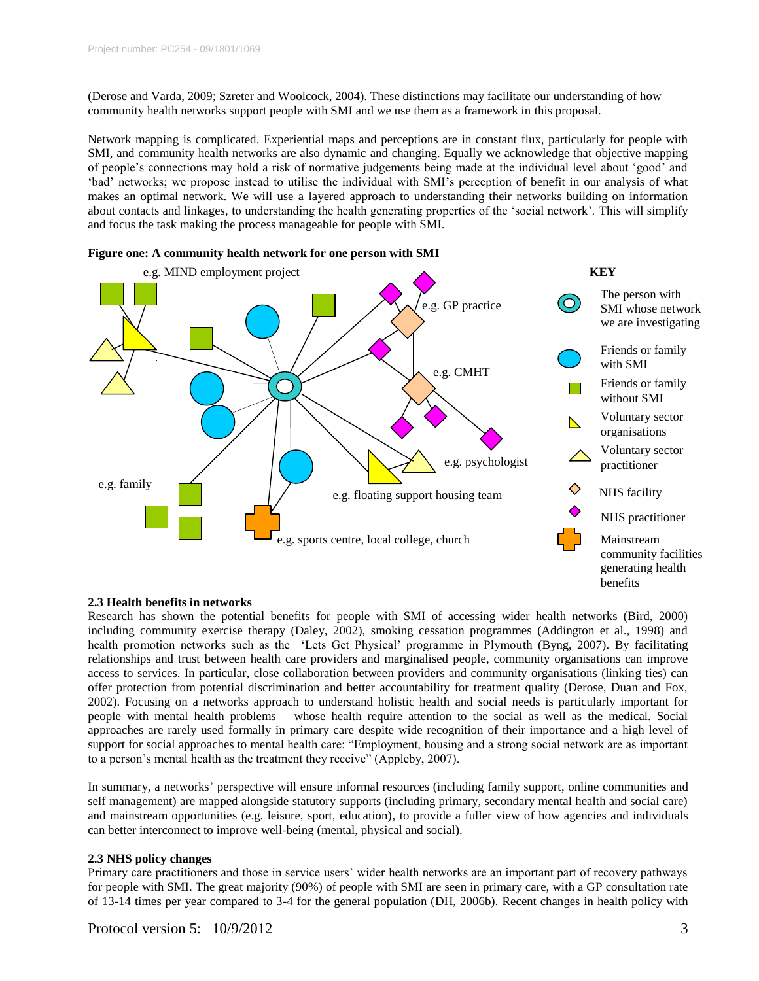(Derose and Varda, 2009; Szreter and Woolcock, 2004). These distinctions may facilitate our understanding of how community health networks support people with SMI and we use them as a framework in this proposal.

Network mapping is complicated. Experiential maps and perceptions are in constant flux, particularly for people with SMI, and community health networks are also dynamic and changing. Equally we acknowledge that objective mapping of people's connections may hold a risk of normative judgements being made at the individual level about 'good' and 'bad' networks; we propose instead to utilise the individual with SMI's perception of benefit in our analysis of what makes an optimal network. We will use a layered approach to understanding their networks building on information about contacts and linkages, to understanding the health generating properties of the 'social network'. This will simplify and focus the task making the process manageable for people with SMI.





### **2.3 Health benefits in networks**

Research has shown the potential benefits for people with SMI of accessing wider health networks (Bird, 2000) including community exercise therapy (Daley, 2002), smoking cessation programmes (Addington et al., 1998) and health promotion networks such as the 'Lets Get Physical' programme in Plymouth (Byng, 2007). By facilitating relationships and trust between health care providers and marginalised people, community organisations can improve access to services. In particular, close collaboration between providers and community organisations (linking ties) can offer protection from potential discrimination and better accountability for treatment quality (Derose, Duan and Fox, 2002). Focusing on a networks approach to understand holistic health and social needs is particularly important for people with mental health problems – whose health require attention to the social as well as the medical. Social approaches are rarely used formally in primary care despite wide recognition of their importance and a high level of support for social approaches to mental health care: "Employment, housing and a strong social network are as important to a person's mental health as the treatment they receive" (Appleby, 2007).

In summary, a networks' perspective will ensure informal resources (including family support, online communities and self management) are mapped alongside statutory supports (including primary, secondary mental health and social care) and mainstream opportunities (e.g. leisure, sport, education), to provide a fuller view of how agencies and individuals can better interconnect to improve well-being (mental, physical and social).

# **2.3 NHS policy changes**

Primary care practitioners and those in service users' wider health networks are an important part of recovery pathways for people with SMI. The great majority (90%) of people with SMI are seen in primary care, with a GP consultation rate of 13-14 times per year compared to 3-4 for the general population (DH, 2006b). Recent changes in health policy with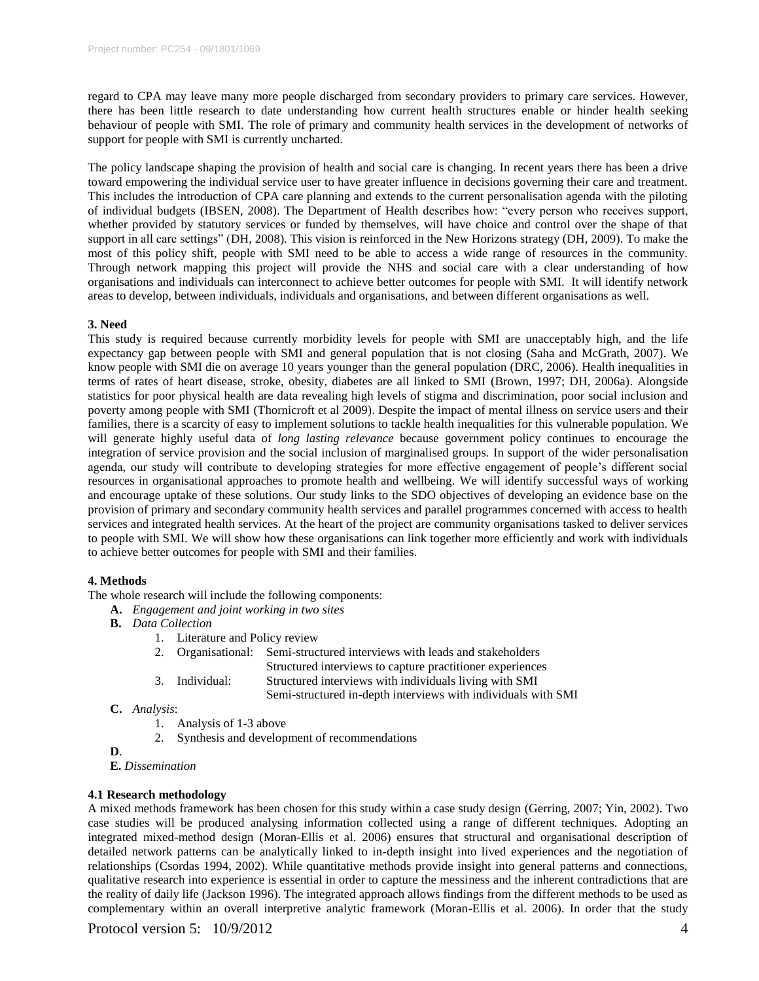regard to CPA may leave many more people discharged from secondary providers to primary care services. However, there has been little research to date understanding how current health structures enable or hinder health seeking behaviour of people with SMI. The role of primary and community health services in the development of networks of support for people with SMI is currently uncharted.

The policy landscape shaping the provision of health and social care is changing. In recent years there has been a drive toward empowering the individual service user to have greater influence in decisions governing their care and treatment. This includes the introduction of CPA care planning and extends to the current personalisation agenda with the piloting of individual budgets (IBSEN, 2008). The Department of Health describes how: "every person who receives support, whether provided by statutory services or funded by themselves, will have choice and control over the shape of that support in all care settings" (DH, 2008). This vision is reinforced in the New Horizons strategy (DH, 2009). To make the most of this policy shift, people with SMI need to be able to access a wide range of resources in the community. Through network mapping this project will provide the NHS and social care with a clear understanding of how organisations and individuals can interconnect to achieve better outcomes for people with SMI. It will identify network areas to develop, between individuals, individuals and organisations, and between different organisations as well.

#### **3. Need**

This study is required because currently morbidity levels for people with SMI are unacceptably high, and the life expectancy gap between people with SMI and general population that is not closing (Saha and McGrath, 2007). We know people with SMI die on average 10 years younger than the general population (DRC, 2006). Health inequalities in terms of rates of heart disease, stroke, obesity, diabetes are all linked to SMI (Brown, 1997; DH, 2006a). Alongside statistics for poor physical health are data revealing high levels of stigma and discrimination, poor social inclusion and poverty among people with SMI (Thornicroft et al 2009). Despite the impact of mental illness on service users and their families, there is a scarcity of easy to implement solutions to tackle health inequalities for this vulnerable population. We will generate highly useful data of *long lasting relevance* because government policy continues to encourage the integration of service provision and the social inclusion of marginalised groups. In support of the wider personalisation agenda, our study will contribute to developing strategies for more effective engagement of people's different social resources in organisational approaches to promote health and wellbeing. We will identify successful ways of working and encourage uptake of these solutions. Our study links to the SDO objectives of developing an evidence base on the provision of primary and secondary community health services and parallel programmes concerned with access to health services and integrated health services. At the heart of the project are community organisations tasked to deliver services to people with SMI. We will show how these organisations can link together more efficiently and work with individuals to achieve better outcomes for people with SMI and their families.

### **4. Methods**

The whole research will include the following components:

- **A.** *Engagement and joint working in two sites*
- **B.** *Data Collection*
	- 1. Literature and Policy review

| 2. Organisational: | Semi-structured interviews with leads and stakeholders        |
|--------------------|---------------------------------------------------------------|
|                    | Structured interviews to capture practitioner experiences     |
| 3. Individual:     | Structured interviews with individuals living with SMI        |
|                    | Semi-structured in-depth interviews with individuals with SMI |

- **C.** *Analysis*:
	- 1. Analysis of 1-3 above
	- 2. Synthesis and development of recommendations
- **D**.

**E.** *Dissemination*

### **4.1 Research methodology**

A mixed methods framework has been chosen for this study within a case study design (Gerring, 2007; Yin, 2002). Two case studies will be produced analysing information collected using a range of different techniques. Adopting an integrated mixed-method design (Moran-Ellis et al. 2006) ensures that structural and organisational description of detailed network patterns can be analytically linked to in-depth insight into lived experiences and the negotiation of relationships (Csordas 1994, 2002). While quantitative methods provide insight into general patterns and connections, qualitative research into experience is essential in order to capture the messiness and the inherent contradictions that are the reality of daily life (Jackson 1996). The integrated approach allows findings from the different methods to be used as complementary within an overall interpretive analytic framework (Moran-Ellis et al. 2006). In order that the study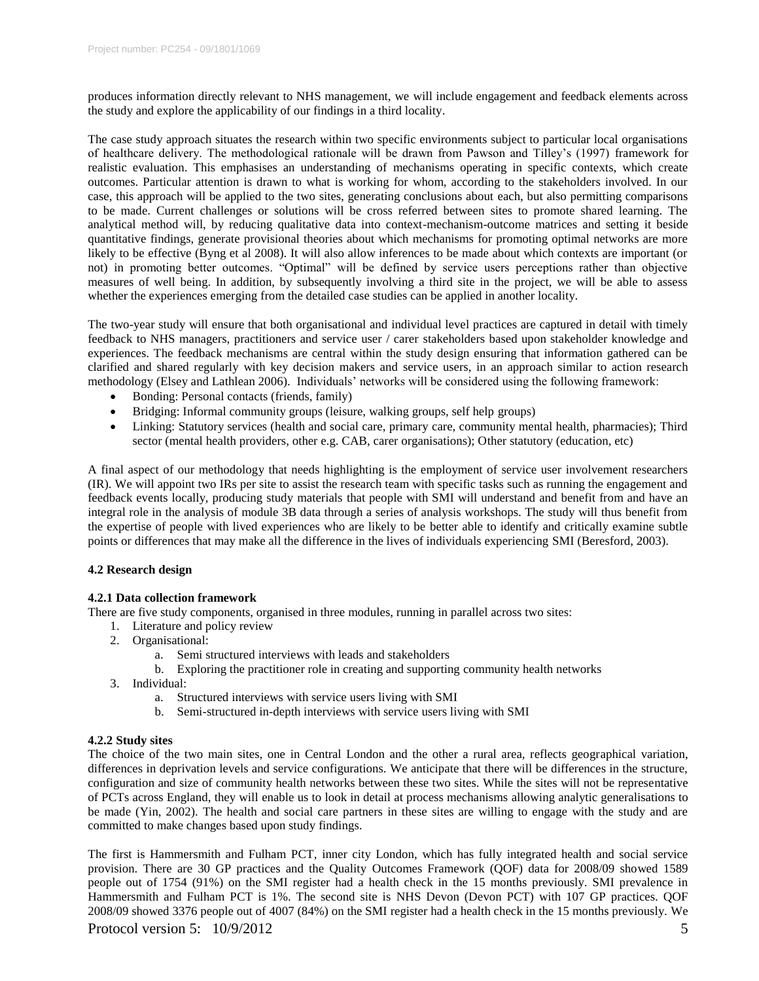produces information directly relevant to NHS management, we will include engagement and feedback elements across the study and explore the applicability of our findings in a third locality.

The case study approach situates the research within two specific environments subject to particular local organisations of healthcare delivery. The methodological rationale will be drawn from Pawson and Tilley's (1997) framework for realistic evaluation. This emphasises an understanding of mechanisms operating in specific contexts, which create outcomes. Particular attention is drawn to what is working for whom, according to the stakeholders involved. In our case, this approach will be applied to the two sites, generating conclusions about each, but also permitting comparisons to be made. Current challenges or solutions will be cross referred between sites to promote shared learning. The analytical method will, by reducing qualitative data into context-mechanism-outcome matrices and setting it beside quantitative findings, generate provisional theories about which mechanisms for promoting optimal networks are more likely to be effective (Byng et al 2008). It will also allow inferences to be made about which contexts are important (or not) in promoting better outcomes. "Optimal" will be defined by service users perceptions rather than objective measures of well being. In addition, by subsequently involving a third site in the project, we will be able to assess whether the experiences emerging from the detailed case studies can be applied in another locality.

The two-year study will ensure that both organisational and individual level practices are captured in detail with timely feedback to NHS managers, practitioners and service user / carer stakeholders based upon stakeholder knowledge and experiences. The feedback mechanisms are central within the study design ensuring that information gathered can be clarified and shared regularly with key decision makers and service users, in an approach similar to action research methodology (Elsey and Lathlean 2006). Individuals' networks will be considered using the following framework:

- Bonding: Personal contacts (friends, family)
- Bridging: Informal community groups (leisure, walking groups, self help groups)
- Linking: Statutory services (health and social care, primary care, community mental health, pharmacies); Third sector (mental health providers, other e.g. CAB, carer organisations); Other statutory (education, etc)

A final aspect of our methodology that needs highlighting is the employment of service user involvement researchers (IR). We will appoint two IRs per site to assist the research team with specific tasks such as running the engagement and feedback events locally, producing study materials that people with SMI will understand and benefit from and have an integral role in the analysis of module 3B data through a series of analysis workshops. The study will thus benefit from the expertise of people with lived experiences who are likely to be better able to identify and critically examine subtle points or differences that may make all the difference in the lives of individuals experiencing SMI (Beresford, 2003).

### **4.2 Research design**

## **4.2.1 Data collection framework**

There are five study components, organised in three modules, running in parallel across two sites:

- 1. Literature and policy review
- 2. Organisational:
	- a. Semi structured interviews with leads and stakeholders
	- b. Exploring the practitioner role in creating and supporting community health networks
- 3. Individual:
	- a. Structured interviews with service users living with SMI
	- b. Semi-structured in-depth interviews with service users living with SMI

### **4.2.2 Study sites**

The choice of the two main sites, one in Central London and the other a rural area, reflects geographical variation, differences in deprivation levels and service configurations. We anticipate that there will be differences in the structure, configuration and size of community health networks between these two sites. While the sites will not be representative of PCTs across England, they will enable us to look in detail at process mechanisms allowing analytic generalisations to be made (Yin, 2002). The health and social care partners in these sites are willing to engage with the study and are committed to make changes based upon study findings.

The first is Hammersmith and Fulham PCT, inner city London, which has fully integrated health and social service provision. There are 30 GP practices and the Quality Outcomes Framework (QOF) data for 2008/09 showed 1589 people out of 1754 (91%) on the SMI register had a health check in the 15 months previously. SMI prevalence in Hammersmith and Fulham PCT is 1%. The second site is NHS Devon (Devon PCT) with 107 GP practices. QOF 2008/09 showed 3376 people out of 4007 (84%) on the SMI register had a health check in the 15 months previously. We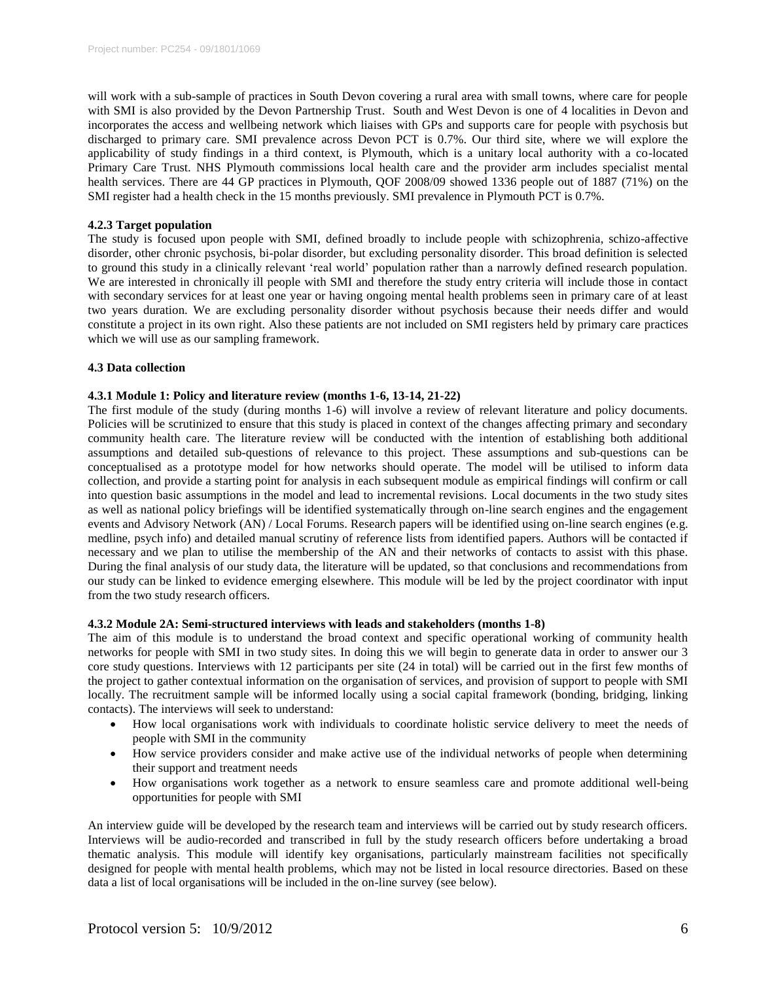will work with a sub-sample of practices in South Devon covering a rural area with small towns, where care for people with SMI is also provided by the Devon Partnership Trust. South and West Devon is one of 4 localities in Devon and incorporates the access and wellbeing network which liaises with GPs and supports care for people with psychosis but discharged to primary care. SMI prevalence across Devon PCT is 0.7%. Our third site, where we will explore the applicability of study findings in a third context, is Plymouth, which is a unitary local authority with a co-located Primary Care Trust. NHS Plymouth commissions local health care and the provider arm includes specialist mental health services. There are 44 GP practices in Plymouth, QOF 2008/09 showed 1336 people out of 1887 (71%) on the SMI register had a health check in the 15 months previously. SMI prevalence in Plymouth PCT is 0.7%.

## **4.2.3 Target population**

The study is focused upon people with SMI, defined broadly to include people with schizophrenia, schizo-affective disorder, other chronic psychosis, bi-polar disorder, but excluding personality disorder. This broad definition is selected to ground this study in a clinically relevant 'real world' population rather than a narrowly defined research population. We are interested in chronically ill people with SMI and therefore the study entry criteria will include those in contact with secondary services for at least one year or having ongoing mental health problems seen in primary care of at least two years duration. We are excluding personality disorder without psychosis because their needs differ and would constitute a project in its own right. Also these patients are not included on SMI registers held by primary care practices which we will use as our sampling framework.

### **4.3 Data collection**

# **4.3.1 Module 1: Policy and literature review (months 1-6, 13-14, 21-22)**

The first module of the study (during months 1-6) will involve a review of relevant literature and policy documents. Policies will be scrutinized to ensure that this study is placed in context of the changes affecting primary and secondary community health care. The literature review will be conducted with the intention of establishing both additional assumptions and detailed sub-questions of relevance to this project. These assumptions and sub-questions can be conceptualised as a prototype model for how networks should operate. The model will be utilised to inform data collection, and provide a starting point for analysis in each subsequent module as empirical findings will confirm or call into question basic assumptions in the model and lead to incremental revisions. Local documents in the two study sites as well as national policy briefings will be identified systematically through on-line search engines and the engagement events and Advisory Network (AN) / Local Forums. Research papers will be identified using on-line search engines (e.g. medline, psych info) and detailed manual scrutiny of reference lists from identified papers. Authors will be contacted if necessary and we plan to utilise the membership of the AN and their networks of contacts to assist with this phase. During the final analysis of our study data, the literature will be updated, so that conclusions and recommendations from our study can be linked to evidence emerging elsewhere. This module will be led by the project coordinator with input from the two study research officers.

### **4.3.2 Module 2A: Semi-structured interviews with leads and stakeholders (months 1-8)**

The aim of this module is to understand the broad context and specific operational working of community health networks for people with SMI in two study sites. In doing this we will begin to generate data in order to answer our 3 core study questions. Interviews with 12 participants per site (24 in total) will be carried out in the first few months of the project to gather contextual information on the organisation of services, and provision of support to people with SMI locally. The recruitment sample will be informed locally using a social capital framework (bonding, bridging, linking contacts). The interviews will seek to understand:

- How local organisations work with individuals to coordinate holistic service delivery to meet the needs of people with SMI in the community
- How service providers consider and make active use of the individual networks of people when determining their support and treatment needs
- How organisations work together as a network to ensure seamless care and promote additional well-being opportunities for people with SMI

An interview guide will be developed by the research team and interviews will be carried out by study research officers. Interviews will be audio-recorded and transcribed in full by the study research officers before undertaking a broad thematic analysis. This module will identify key organisations, particularly mainstream facilities not specifically designed for people with mental health problems, which may not be listed in local resource directories. Based on these data a list of local organisations will be included in the on-line survey (see below).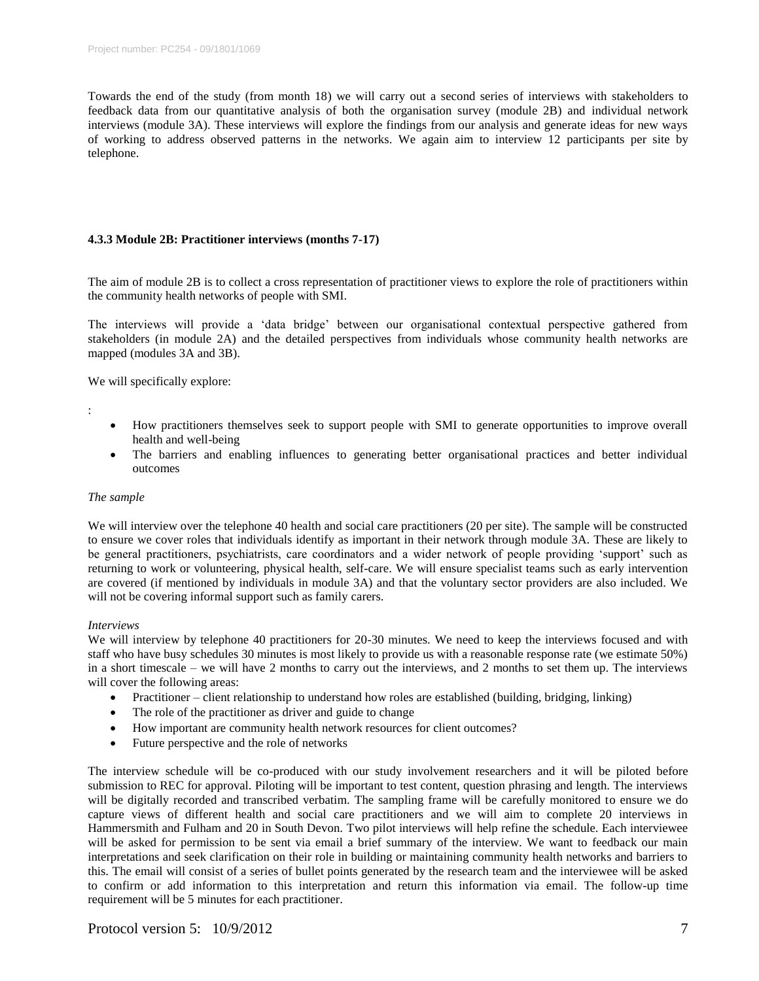Towards the end of the study (from month 18) we will carry out a second series of interviews with stakeholders to feedback data from our quantitative analysis of both the organisation survey (module 2B) and individual network interviews (module 3A). These interviews will explore the findings from our analysis and generate ideas for new ways of working to address observed patterns in the networks. We again aim to interview 12 participants per site by telephone.

# **4.3.3 Module 2B: Practitioner interviews (months 7-17)**

The aim of module 2B is to collect a cross representation of practitioner views to explore the role of practitioners within the community health networks of people with SMI.

The interviews will provide a 'data bridge' between our organisational contextual perspective gathered from stakeholders (in module 2A) and the detailed perspectives from individuals whose community health networks are mapped (modules 3A and 3B).

We will specifically explore:

:

- How practitioners themselves seek to support people with SMI to generate opportunities to improve overall health and well-being
- The barriers and enabling influences to generating better organisational practices and better individual outcomes

### *The sample*

We will interview over the telephone 40 health and social care practitioners (20 per site). The sample will be constructed to ensure we cover roles that individuals identify as important in their network through module 3A. These are likely to be general practitioners, psychiatrists, care coordinators and a wider network of people providing 'support' such as returning to work or volunteering, physical health, self-care. We will ensure specialist teams such as early intervention are covered (if mentioned by individuals in module 3A) and that the voluntary sector providers are also included. We will not be covering informal support such as family carers.

### *Interviews*

We will interview by telephone 40 practitioners for 20-30 minutes. We need to keep the interviews focused and with staff who have busy schedules 30 minutes is most likely to provide us with a reasonable response rate (we estimate 50%) in a short timescale – we will have 2 months to carry out the interviews, and 2 months to set them up. The interviews will cover the following areas:

- Practitioner client relationship to understand how roles are established (building, bridging, linking)
- The role of the practitioner as driver and guide to change
- How important are community health network resources for client outcomes?
- Future perspective and the role of networks

The interview schedule will be co-produced with our study involvement researchers and it will be piloted before submission to REC for approval. Piloting will be important to test content, question phrasing and length. The interviews will be digitally recorded and transcribed verbatim. The sampling frame will be carefully monitored to ensure we do capture views of different health and social care practitioners and we will aim to complete 20 interviews in Hammersmith and Fulham and 20 in South Devon. Two pilot interviews will help refine the schedule. Each interviewee will be asked for permission to be sent via email a brief summary of the interview. We want to feedback our main interpretations and seek clarification on their role in building or maintaining community health networks and barriers to this. The email will consist of a series of bullet points generated by the research team and the interviewee will be asked to confirm or add information to this interpretation and return this information via email. The follow-up time requirement will be 5 minutes for each practitioner.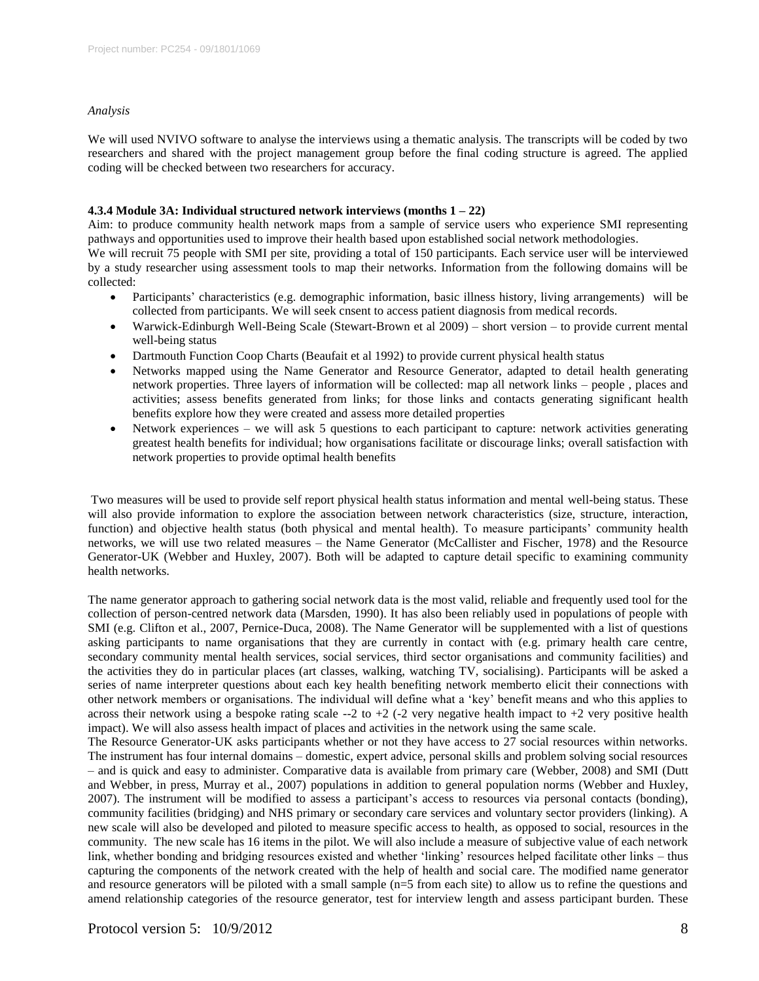#### *Analysis*

We will used NVIVO software to analyse the interviews using a thematic analysis. The transcripts will be coded by two researchers and shared with the project management group before the final coding structure is agreed. The applied coding will be checked between two researchers for accuracy.

# **4.3.4 Module 3A: Individual structured network interviews (months 1 – 22)**

Aim: to produce community health network maps from a sample of service users who experience SMI representing pathways and opportunities used to improve their health based upon established social network methodologies. We will recruit 75 people with SMI per site, providing a total of 150 participants. Each service user will be interviewed by a study researcher using assessment tools to map their networks. Information from the following domains will be collected:

- Participants' characteristics (e.g. demographic information, basic illness history, living arrangements) will be collected from participants. We will seek cnsent to access patient diagnosis from medical records.
- Warwick-Edinburgh Well-Being Scale (Stewart-Brown et al 2009) short version to provide current mental well-being status
- Dartmouth Function Coop Charts (Beaufait et al 1992) to provide current physical health status
- Networks mapped using the Name Generator and Resource Generator, adapted to detail health generating network properties. Three layers of information will be collected: map all network links – people , places and activities; assess benefits generated from links; for those links and contacts generating significant health benefits explore how they were created and assess more detailed properties
- Network experiences we will ask 5 questions to each participant to capture: network activities generating greatest health benefits for individual; how organisations facilitate or discourage links; overall satisfaction with network properties to provide optimal health benefits

Two measures will be used to provide self report physical health status information and mental well-being status. These will also provide information to explore the association between network characteristics (size, structure, interaction, function) and objective health status (both physical and mental health). To measure participants' community health networks, we will use two related measures – the Name Generator (McCallister and Fischer, 1978) and the Resource Generator-UK (Webber and Huxley, 2007). Both will be adapted to capture detail specific to examining community health networks.

The name generator approach to gathering social network data is the most valid, reliable and frequently used tool for the collection of person-centred network data (Marsden, 1990). It has also been reliably used in populations of people with SMI (e.g. Clifton et al., 2007, Pernice-Duca, 2008). The Name Generator will be supplemented with a list of questions asking participants to name organisations that they are currently in contact with (e.g. primary health care centre, secondary community mental health services, social services, third sector organisations and community facilities) and the activities they do in particular places (art classes, walking, watching TV, socialising). Participants will be asked a series of name interpreter questions about each key health benefiting network memberto elicit their connections with other network members or organisations. The individual will define what a 'key' benefit means and who this applies to across their network using a bespoke rating scale  $-2$  to  $+2$  ( $-2$  very negative health impact to  $+2$  very positive health impact). We will also assess health impact of places and activities in the network using the same scale.

The Resource Generator-UK asks participants whether or not they have access to 27 social resources within networks. The instrument has four internal domains – domestic, expert advice, personal skills and problem solving social resources – and is quick and easy to administer. Comparative data is available from primary care (Webber, 2008) and SMI (Dutt and Webber, in press, Murray et al., 2007) populations in addition to general population norms (Webber and Huxley, 2007). The instrument will be modified to assess a participant's access to resources via personal contacts (bonding), community facilities (bridging) and NHS primary or secondary care services and voluntary sector providers (linking). A new scale will also be developed and piloted to measure specific access to health, as opposed to social, resources in the community. The new scale has 16 items in the pilot. We will also include a measure of subjective value of each network link, whether bonding and bridging resources existed and whether 'linking' resources helped facilitate other links – thus capturing the components of the network created with the help of health and social care. The modified name generator and resource generators will be piloted with a small sample (n=5 from each site) to allow us to refine the questions and amend relationship categories of the resource generator, test for interview length and assess participant burden. These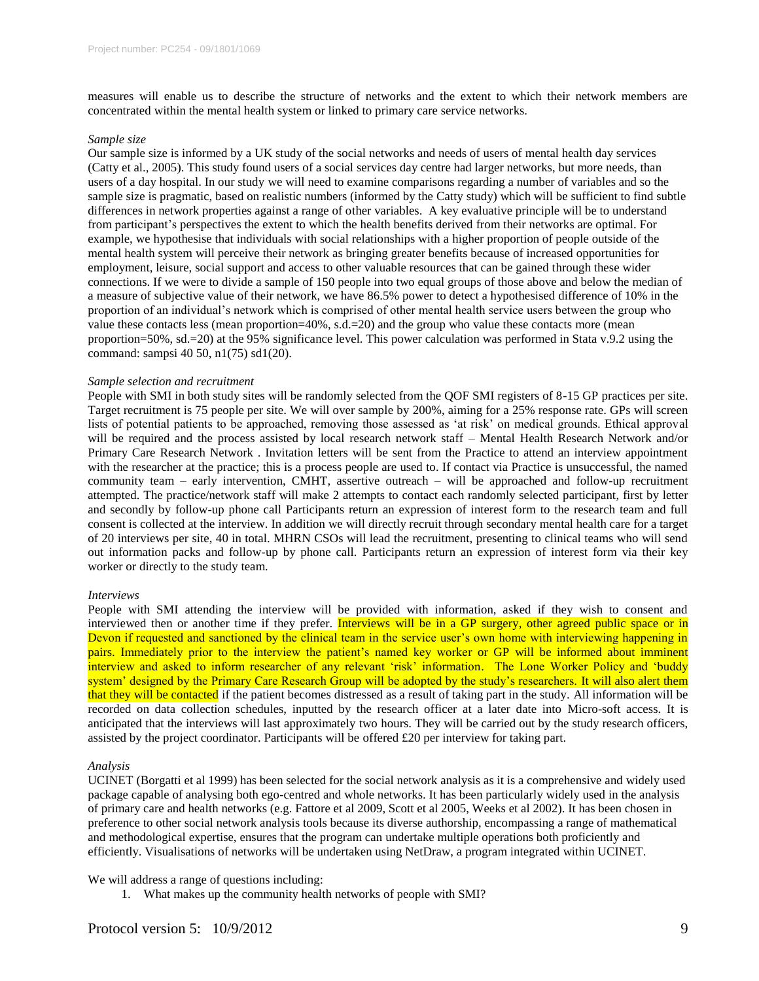measures will enable us to describe the structure of networks and the extent to which their network members are concentrated within the mental health system or linked to primary care service networks.

#### *Sample size*

Our sample size is informed by a UK study of the social networks and needs of users of mental health day services (Catty et al., 2005). This study found users of a social services day centre had larger networks, but more needs, than users of a day hospital. In our study we will need to examine comparisons regarding a number of variables and so the sample size is pragmatic, based on realistic numbers (informed by the Catty study) which will be sufficient to find subtle differences in network properties against a range of other variables. A key evaluative principle will be to understand from participant's perspectives the extent to which the health benefits derived from their networks are optimal. For example, we hypothesise that individuals with social relationships with a higher proportion of people outside of the mental health system will perceive their network as bringing greater benefits because of increased opportunities for employment, leisure, social support and access to other valuable resources that can be gained through these wider connections. If we were to divide a sample of 150 people into two equal groups of those above and below the median of a measure of subjective value of their network, we have 86.5% power to detect a hypothesised difference of 10% in the proportion of an individual's network which is comprised of other mental health service users between the group who value these contacts less (mean proportion=40%, s.d.=20) and the group who value these contacts more (mean proportion=50%, sd.=20) at the 95% significance level. This power calculation was performed in Stata v.9.2 using the command: sampsi 40 50, n1(75) sd1(20).

### *Sample selection and recruitment*

People with SMI in both study sites will be randomly selected from the QOF SMI registers of 8-15 GP practices per site. Target recruitment is 75 people per site. We will over sample by 200%, aiming for a 25% response rate. GPs will screen lists of potential patients to be approached, removing those assessed as 'at risk' on medical grounds. Ethical approval will be required and the process assisted by local research network staff – Mental Health Research Network and/or Primary Care Research Network . Invitation letters will be sent from the Practice to attend an interview appointment with the researcher at the practice; this is a process people are used to. If contact via Practice is unsuccessful, the named community team – early intervention, CMHT, assertive outreach – will be approached and follow-up recruitment attempted. The practice/network staff will make 2 attempts to contact each randomly selected participant, first by letter and secondly by follow-up phone call Participants return an expression of interest form to the research team and full consent is collected at the interview. In addition we will directly recruit through secondary mental health care for a target of 20 interviews per site, 40 in total. MHRN CSOs will lead the recruitment, presenting to clinical teams who will send out information packs and follow-up by phone call. Participants return an expression of interest form via their key worker or directly to the study team.

#### *Interviews*

People with SMI attending the interview will be provided with information, asked if they wish to consent and interviewed then or another time if they prefer. Interviews will be in a GP surgery, other agreed public space or in Devon if requested and sanctioned by the clinical team in the service user's own home with interviewing happening in pairs. Immediately prior to the interview the patient's named key worker or GP will be informed about imminent interview and asked to inform researcher of any relevant 'risk' information. The Lone Worker Policy and 'buddy system' designed by the Primary Care Research Group will be adopted by the study's researchers. It will also alert them that they will be contacted if the patient becomes distressed as a result of taking part in the study. All information will be recorded on data collection schedules, inputted by the research officer at a later date into Micro-soft access. It is anticipated that the interviews will last approximately two hours. They will be carried out by the study research officers, assisted by the project coordinator. Participants will be offered £20 per interview for taking part.

#### *Analysis*

UCINET (Borgatti et al 1999) has been selected for the social network analysis as it is a comprehensive and widely used package capable of analysing both ego-centred and whole networks. It has been particularly widely used in the analysis of primary care and health networks (e.g. Fattore et al 2009, Scott et al 2005, Weeks et al 2002). It has been chosen in preference to other social network analysis tools because its diverse authorship, encompassing a range of mathematical and methodological expertise, ensures that the program can undertake multiple operations both proficiently and efficiently. Visualisations of networks will be undertaken using NetDraw, a program integrated within UCINET.

### We will address a range of questions including:

1. What makes up the community health networks of people with SMI?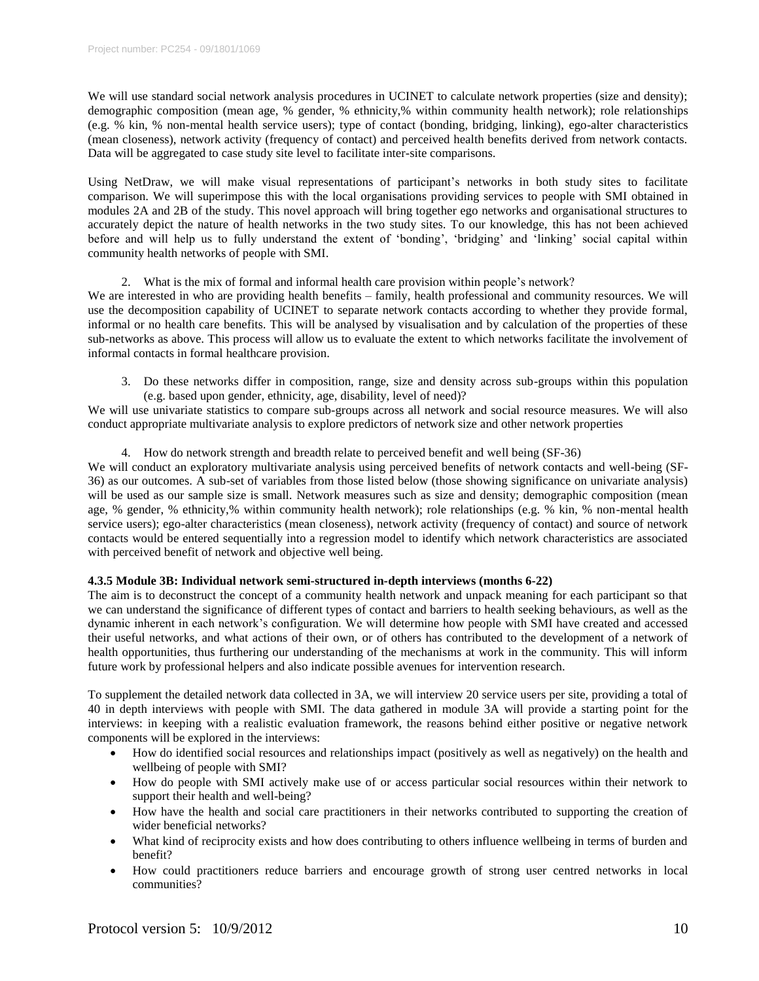We will use standard social network analysis procedures in UCINET to calculate network properties (size and density); demographic composition (mean age, % gender, % ethnicity,% within community health network); role relationships (e.g. % kin, % non-mental health service users); type of contact (bonding, bridging, linking), ego-alter characteristics (mean closeness), network activity (frequency of contact) and perceived health benefits derived from network contacts. Data will be aggregated to case study site level to facilitate inter-site comparisons.

Using NetDraw, we will make visual representations of participant's networks in both study sites to facilitate comparison. We will superimpose this with the local organisations providing services to people with SMI obtained in modules 2A and 2B of the study. This novel approach will bring together ego networks and organisational structures to accurately depict the nature of health networks in the two study sites. To our knowledge, this has not been achieved before and will help us to fully understand the extent of 'bonding', 'bridging' and 'linking' social capital within community health networks of people with SMI.

### 2. What is the mix of formal and informal health care provision within people's network?

We are interested in who are providing health benefits – family, health professional and community resources. We will use the decomposition capability of UCINET to separate network contacts according to whether they provide formal, informal or no health care benefits. This will be analysed by visualisation and by calculation of the properties of these sub-networks as above. This process will allow us to evaluate the extent to which networks facilitate the involvement of informal contacts in formal healthcare provision.

3. Do these networks differ in composition, range, size and density across sub-groups within this population (e.g. based upon gender, ethnicity, age, disability, level of need)?

We will use univariate statistics to compare sub-groups across all network and social resource measures. We will also conduct appropriate multivariate analysis to explore predictors of network size and other network properties

### 4. How do network strength and breadth relate to perceived benefit and well being (SF-36)

We will conduct an exploratory multivariate analysis using perceived benefits of network contacts and well-being (SF-36) as our outcomes. A sub-set of variables from those listed below (those showing significance on univariate analysis) will be used as our sample size is small. Network measures such as size and density; demographic composition (mean age, % gender, % ethnicity,% within community health network); role relationships (e.g. % kin, % non-mental health service users); ego-alter characteristics (mean closeness), network activity (frequency of contact) and source of network contacts would be entered sequentially into a regression model to identify which network characteristics are associated with perceived benefit of network and objective well being.

## **4.3.5 Module 3B: Individual network semi-structured in-depth interviews (months 6-22)**

The aim is to deconstruct the concept of a community health network and unpack meaning for each participant so that we can understand the significance of different types of contact and barriers to health seeking behaviours, as well as the dynamic inherent in each network's configuration. We will determine how people with SMI have created and accessed their useful networks, and what actions of their own, or of others has contributed to the development of a network of health opportunities, thus furthering our understanding of the mechanisms at work in the community. This will inform future work by professional helpers and also indicate possible avenues for intervention research.

To supplement the detailed network data collected in 3A, we will interview 20 service users per site, providing a total of 40 in depth interviews with people with SMI. The data gathered in module 3A will provide a starting point for the interviews: in keeping with a realistic evaluation framework, the reasons behind either positive or negative network components will be explored in the interviews:

- How do identified social resources and relationships impact (positively as well as negatively) on the health and wellbeing of people with SMI?
- How do people with SMI actively make use of or access particular social resources within their network to support their health and well-being?
- How have the health and social care practitioners in their networks contributed to supporting the creation of wider beneficial networks?
- What kind of reciprocity exists and how does contributing to others influence wellbeing in terms of burden and benefit?
- How could practitioners reduce barriers and encourage growth of strong user centred networks in local communities?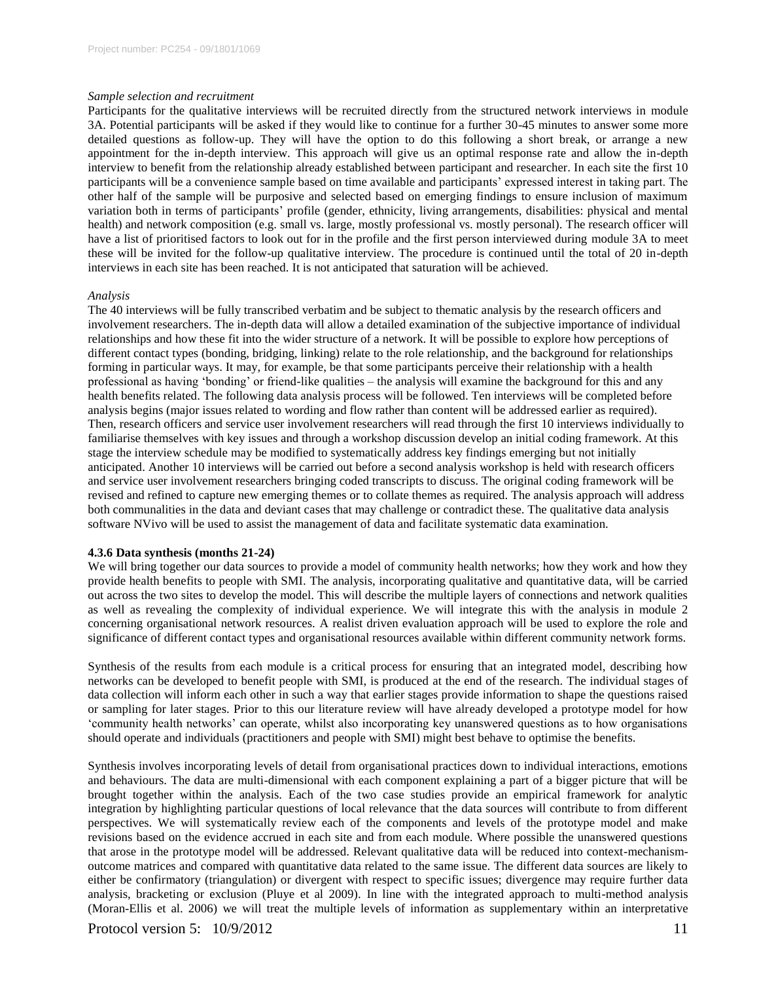#### *Sample selection and recruitment*

Participants for the qualitative interviews will be recruited directly from the structured network interviews in module 3A. Potential participants will be asked if they would like to continue for a further 30-45 minutes to answer some more detailed questions as follow-up. They will have the option to do this following a short break, or arrange a new appointment for the in-depth interview. This approach will give us an optimal response rate and allow the in-depth interview to benefit from the relationship already established between participant and researcher. In each site the first 10 participants will be a convenience sample based on time available and participants' expressed interest in taking part. The other half of the sample will be purposive and selected based on emerging findings to ensure inclusion of maximum variation both in terms of participants' profile (gender, ethnicity, living arrangements, disabilities: physical and mental health) and network composition (e.g. small vs. large, mostly professional vs. mostly personal). The research officer will have a list of prioritised factors to look out for in the profile and the first person interviewed during module 3A to meet these will be invited for the follow-up qualitative interview. The procedure is continued until the total of 20 in-depth interviews in each site has been reached. It is not anticipated that saturation will be achieved.

#### *Analysis*

The 40 interviews will be fully transcribed verbatim and be subject to thematic analysis by the research officers and involvement researchers. The in-depth data will allow a detailed examination of the subjective importance of individual relationships and how these fit into the wider structure of a network. It will be possible to explore how perceptions of different contact types (bonding, bridging, linking) relate to the role relationship, and the background for relationships forming in particular ways. It may, for example, be that some participants perceive their relationship with a health professional as having 'bonding' or friend-like qualities – the analysis will examine the background for this and any health benefits related. The following data analysis process will be followed. Ten interviews will be completed before analysis begins (major issues related to wording and flow rather than content will be addressed earlier as required). Then, research officers and service user involvement researchers will read through the first 10 interviews individually to familiarise themselves with key issues and through a workshop discussion develop an initial coding framework. At this stage the interview schedule may be modified to systematically address key findings emerging but not initially anticipated. Another 10 interviews will be carried out before a second analysis workshop is held with research officers and service user involvement researchers bringing coded transcripts to discuss. The original coding framework will be revised and refined to capture new emerging themes or to collate themes as required. The analysis approach will address both communalities in the data and deviant cases that may challenge or contradict these. The qualitative data analysis software NVivo will be used to assist the management of data and facilitate systematic data examination.

#### **4.3.6 Data synthesis (months 21-24)**

We will bring together our data sources to provide a model of community health networks; how they work and how they provide health benefits to people with SMI. The analysis, incorporating qualitative and quantitative data, will be carried out across the two sites to develop the model. This will describe the multiple layers of connections and network qualities as well as revealing the complexity of individual experience. We will integrate this with the analysis in module 2 concerning organisational network resources. A realist driven evaluation approach will be used to explore the role and significance of different contact types and organisational resources available within different community network forms.

Synthesis of the results from each module is a critical process for ensuring that an integrated model, describing how networks can be developed to benefit people with SMI, is produced at the end of the research. The individual stages of data collection will inform each other in such a way that earlier stages provide information to shape the questions raised or sampling for later stages. Prior to this our literature review will have already developed a prototype model for how 'community health networks' can operate, whilst also incorporating key unanswered questions as to how organisations should operate and individuals (practitioners and people with SMI) might best behave to optimise the benefits.

Synthesis involves incorporating levels of detail from organisational practices down to individual interactions, emotions and behaviours. The data are multi-dimensional with each component explaining a part of a bigger picture that will be brought together within the analysis. Each of the two case studies provide an empirical framework for analytic integration by highlighting particular questions of local relevance that the data sources will contribute to from different perspectives. We will systematically review each of the components and levels of the prototype model and make revisions based on the evidence accrued in each site and from each module. Where possible the unanswered questions that arose in the prototype model will be addressed. Relevant qualitative data will be reduced into context-mechanismoutcome matrices and compared with quantitative data related to the same issue. The different data sources are likely to either be confirmatory (triangulation) or divergent with respect to specific issues; divergence may require further data analysis, bracketing or exclusion (Pluye et al 2009). In line with the integrated approach to multi-method analysis (Moran-Ellis et al. 2006) we will treat the multiple levels of information as supplementary within an interpretative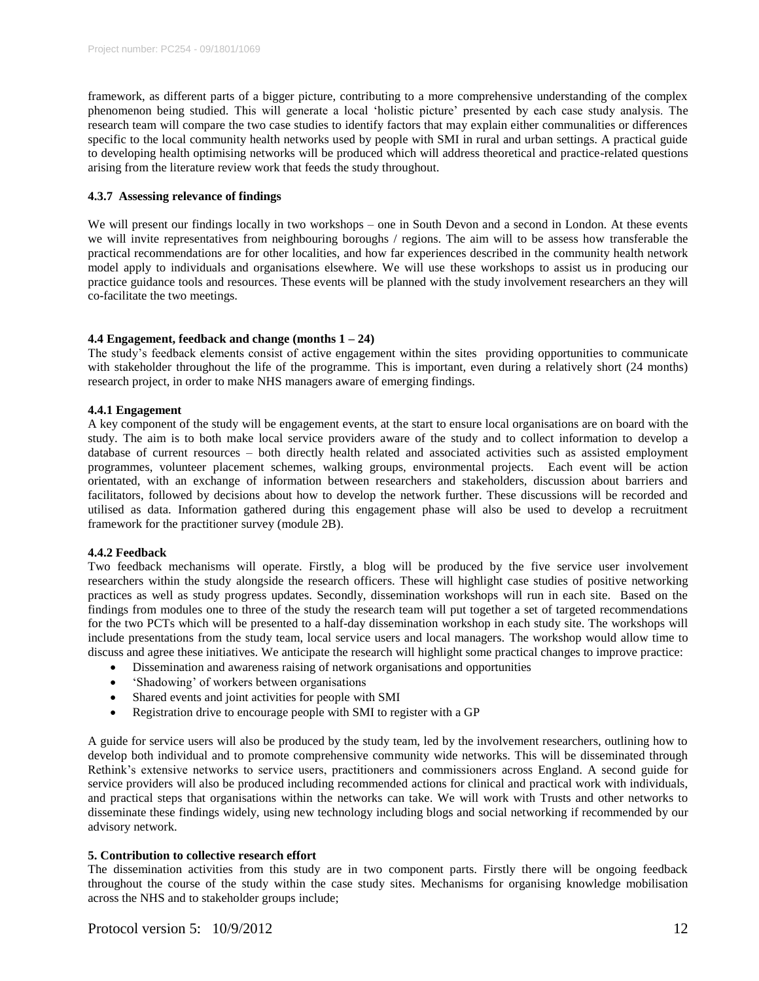framework, as different parts of a bigger picture, contributing to a more comprehensive understanding of the complex phenomenon being studied. This will generate a local 'holistic picture' presented by each case study analysis. The research team will compare the two case studies to identify factors that may explain either communalities or differences specific to the local community health networks used by people with SMI in rural and urban settings. A practical guide to developing health optimising networks will be produced which will address theoretical and practice-related questions arising from the literature review work that feeds the study throughout.

# **4.3.7 Assessing relevance of findings**

We will present our findings locally in two workshops – one in South Devon and a second in London. At these events we will invite representatives from neighbouring boroughs / regions. The aim will to be assess how transferable the practical recommendations are for other localities, and how far experiences described in the community health network model apply to individuals and organisations elsewhere. We will use these workshops to assist us in producing our practice guidance tools and resources. These events will be planned with the study involvement researchers an they will co-facilitate the two meetings.

# **4.4 Engagement, feedback and change (months 1 – 24)**

The study's feedback elements consist of active engagement within the sites providing opportunities to communicate with stakeholder throughout the life of the programme. This is important, even during a relatively short (24 months) research project, in order to make NHS managers aware of emerging findings.

### **4.4.1 Engagement**

A key component of the study will be engagement events, at the start to ensure local organisations are on board with the study. The aim is to both make local service providers aware of the study and to collect information to develop a database of current resources – both directly health related and associated activities such as assisted employment programmes, volunteer placement schemes, walking groups, environmental projects. Each event will be action orientated, with an exchange of information between researchers and stakeholders, discussion about barriers and facilitators, followed by decisions about how to develop the network further. These discussions will be recorded and utilised as data. Information gathered during this engagement phase will also be used to develop a recruitment framework for the practitioner survey (module 2B).

# **4.4.2 Feedback**

Two feedback mechanisms will operate. Firstly, a blog will be produced by the five service user involvement researchers within the study alongside the research officers. These will highlight case studies of positive networking practices as well as study progress updates. Secondly, dissemination workshops will run in each site. Based on the findings from modules one to three of the study the research team will put together a set of targeted recommendations for the two PCTs which will be presented to a half-day dissemination workshop in each study site. The workshops will include presentations from the study team, local service users and local managers. The workshop would allow time to discuss and agree these initiatives. We anticipate the research will highlight some practical changes to improve practice:

- Dissemination and awareness raising of network organisations and opportunities
- 'Shadowing' of workers between organisations
- Shared events and joint activities for people with SMI
- Registration drive to encourage people with SMI to register with a GP

A guide for service users will also be produced by the study team, led by the involvement researchers, outlining how to develop both individual and to promote comprehensive community wide networks. This will be disseminated through Rethink's extensive networks to service users, practitioners and commissioners across England. A second guide for service providers will also be produced including recommended actions for clinical and practical work with individuals, and practical steps that organisations within the networks can take. We will work with Trusts and other networks to disseminate these findings widely, using new technology including blogs and social networking if recommended by our advisory network.

### **5. Contribution to collective research effort**

The dissemination activities from this study are in two component parts. Firstly there will be ongoing feedback throughout the course of the study within the case study sites. Mechanisms for organising knowledge mobilisation across the NHS and to stakeholder groups include;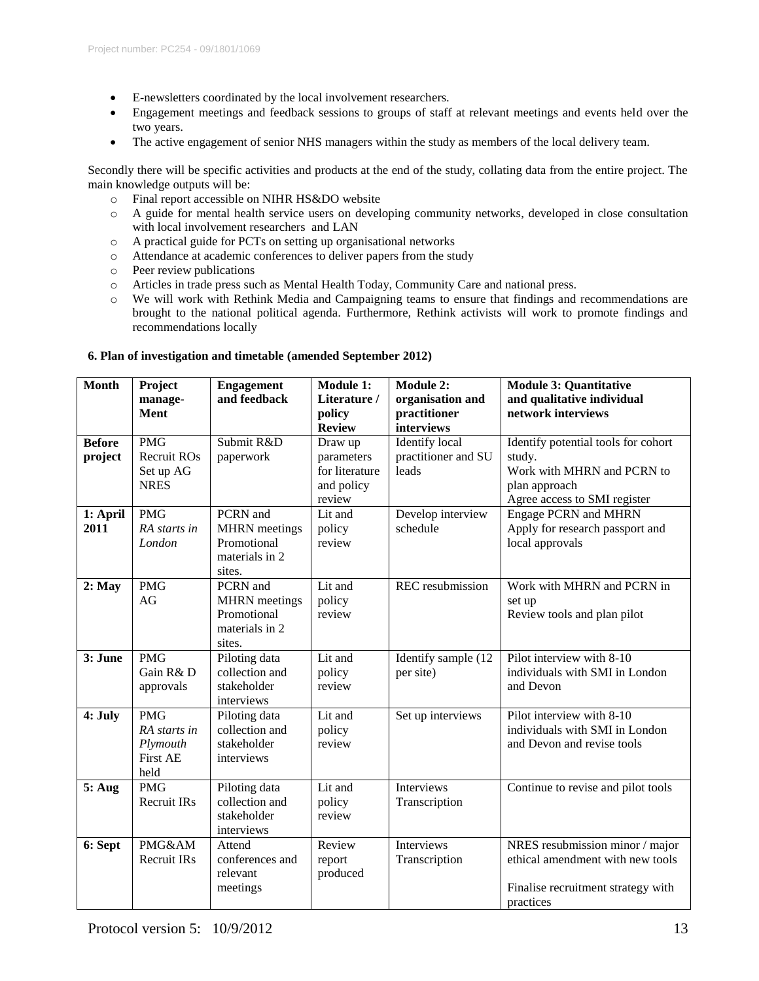- E-newsletters coordinated by the local involvement researchers.
- Engagement meetings and feedback sessions to groups of staff at relevant meetings and events held over the two years.
- The active engagement of senior NHS managers within the study as members of the local delivery team.

Secondly there will be specific activities and products at the end of the study, collating data from the entire project. The main knowledge outputs will be:

- o Final report accessible on NIHR HS&DO website
- o A guide for mental health service users on developing community networks, developed in close consultation with local involvement researchers and LAN
- o A practical guide for PCTs on setting up organisational networks
- o Attendance at academic conferences to deliver papers from the study
- o Peer review publications
- o Articles in trade press such as Mental Health Today, Community Care and national press.
- o We will work with Rethink Media and Campaigning teams to ensure that findings and recommendations are brought to the national political agenda. Furthermore, Rethink activists will work to promote findings and recommendations locally

| <b>Month</b>             | Project<br>manage-                                                | <b>Engagement</b><br>and feedback                                           | Module 1:<br>Literature /                                       | <b>Module 2:</b><br>organisation and                  | <b>Module 3: Quantitative</b><br>and qualitative individual                                                                  |
|--------------------------|-------------------------------------------------------------------|-----------------------------------------------------------------------------|-----------------------------------------------------------------|-------------------------------------------------------|------------------------------------------------------------------------------------------------------------------------------|
|                          | <b>Ment</b>                                                       |                                                                             | policy<br><b>Review</b>                                         | practitioner<br>interviews                            | network interviews                                                                                                           |
| <b>Before</b><br>project | <b>PMG</b><br>Recruit ROs<br>Set up AG<br><b>NRES</b>             | Submit R&D<br>paperwork                                                     | Draw up<br>parameters<br>for literature<br>and policy<br>review | <b>Identify</b> local<br>practitioner and SU<br>leads | Identify potential tools for cohort<br>study.<br>Work with MHRN and PCRN to<br>plan approach<br>Agree access to SMI register |
| 1: April<br>2011         | <b>PMG</b><br>RA starts in<br>London                              | PCRN and<br><b>MHRN</b> meetings<br>Promotional<br>materials in 2<br>sites. | Lit and<br>policy<br>review                                     | Develop interview<br>schedule                         | <b>Engage PCRN and MHRN</b><br>Apply for research passport and<br>local approvals                                            |
| $2:$ May                 | <b>PMG</b><br>AG                                                  | PCRN and<br><b>MHRN</b> meetings<br>Promotional<br>materials in 2<br>sites. | Lit and<br>policy<br>review                                     | REC resubmission                                      | Work with MHRN and PCRN in<br>set up<br>Review tools and plan pilot                                                          |
| 3: June                  | <b>PMG</b><br>Gain R&D<br>approvals                               | Piloting data<br>collection and<br>stakeholder<br>interviews                | Lit and<br>policy<br>review                                     | Identify sample (12)<br>per site)                     | Pilot interview with 8-10<br>individuals with SMI in London<br>and Devon                                                     |
| 4: July                  | <b>PMG</b><br>RA starts in<br>Plymouth<br><b>First AE</b><br>held | Piloting data<br>collection and<br>stakeholder<br>interviews                | Lit and<br>policy<br>review                                     | Set up interviews                                     | Pilot interview with 8-10<br>individuals with SMI in London<br>and Devon and revise tools                                    |
| 5: Aug                   | <b>PMG</b><br><b>Recruit IRs</b>                                  | Piloting data<br>collection and<br>stakeholder<br>interviews                | Lit and<br>policy<br>review                                     | Interviews<br>Transcription                           | Continue to revise and pilot tools                                                                                           |
| 6: Sept                  | PMG&AM<br>Recruit IRs                                             | Attend<br>conferences and<br>relevant<br>meetings                           | Review<br>report<br>produced                                    | Interviews<br>Transcription                           | NRES resubmission minor / major<br>ethical amendment with new tools<br>Finalise recruitment strategy with<br>practices       |

# **6. Plan of investigation and timetable (amended September 2012)**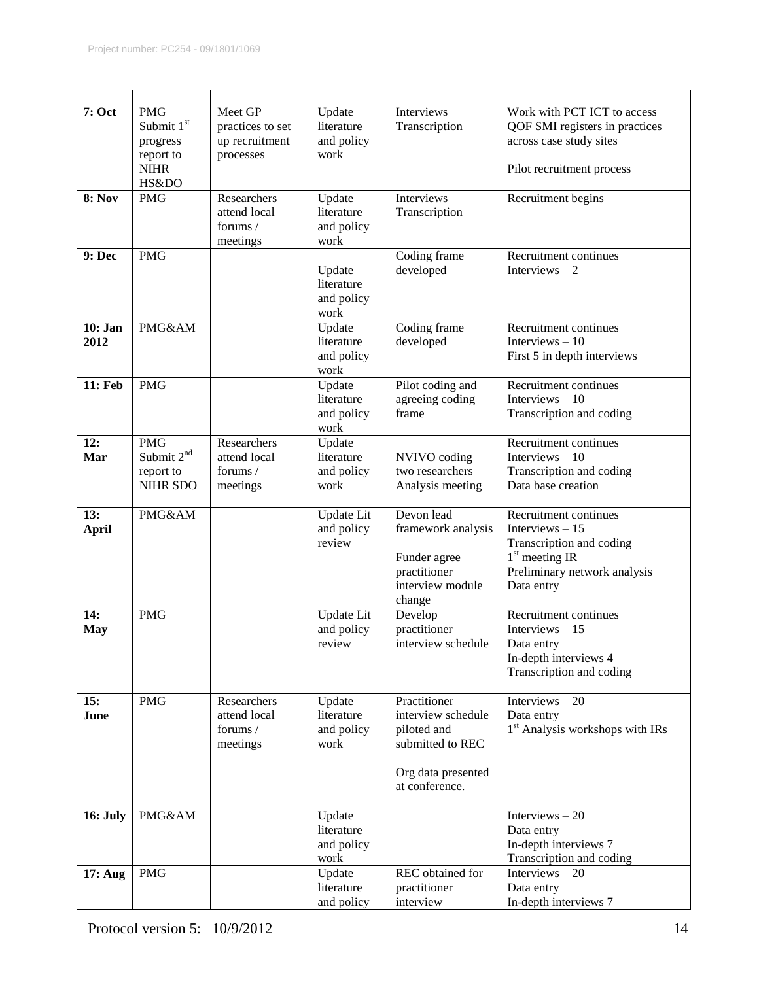| 7: Oct              | <b>PMG</b><br>Submit 1st<br>progress<br>report to<br><b>NIHR</b><br>HS&DO | Meet GP<br>practices to set<br>up recruitment<br>processes | Update<br>literature<br>and policy<br>work | Interviews<br>Transcription                                                                                   | Work with PCT ICT to access<br>QOF SMI registers in practices<br>across case study sites<br>Pilot recruitment process                   |
|---------------------|---------------------------------------------------------------------------|------------------------------------------------------------|--------------------------------------------|---------------------------------------------------------------------------------------------------------------|-----------------------------------------------------------------------------------------------------------------------------------------|
| <b>8: Nov</b>       | <b>PMG</b>                                                                | Researchers<br>attend local<br>forums /<br>meetings        | Update<br>literature<br>and policy<br>work | Interviews<br>Transcription                                                                                   | Recruitment begins                                                                                                                      |
| 9: Dec              | <b>PMG</b>                                                                |                                                            | Update<br>literature<br>and policy<br>work | Coding frame<br>developed                                                                                     | Recruitment continues<br>Interviews $-2$                                                                                                |
| 10: Jan<br>2012     | PMG&AM                                                                    |                                                            | Update<br>literature<br>and policy<br>work | Coding frame<br>developed                                                                                     | Recruitment continues<br>Interviews $-10$<br>First 5 in depth interviews                                                                |
| 11: Feb             | <b>PMG</b>                                                                |                                                            | Update<br>literature<br>and policy<br>work | Pilot coding and<br>agreeing coding<br>frame                                                                  | Recruitment continues<br>Interviews $-10$<br>Transcription and coding                                                                   |
| 12:<br>Mar          | <b>PMG</b><br>Submit 2 <sup>nd</sup><br>report to<br>NIHR SDO             | Researchers<br>attend local<br>forums /<br>meetings        | Update<br>literature<br>and policy<br>work | NVIVO coding -<br>two researchers<br>Analysis meeting                                                         | Recruitment continues<br>Interviews $-10$<br>Transcription and coding<br>Data base creation                                             |
| 13:<br><b>April</b> | PMG&AM                                                                    |                                                            | Update Lit<br>and policy<br>review         | Devon lead<br>framework analysis<br>Funder agree<br>practitioner<br>interview module<br>change                | Recruitment continues<br>Interviews $-15$<br>Transcription and coding<br>$1st$ meeting IR<br>Preliminary network analysis<br>Data entry |
| 14:<br><b>May</b>   | <b>PMG</b>                                                                |                                                            | Update Lit<br>and policy<br>review         | Develop<br>practitioner<br>interview schedule                                                                 | Recruitment continues<br>Interviews $-15$<br>Data entry<br>In-depth interviews 4<br>Transcription and coding                            |
| 15:<br>June         | <b>PMG</b>                                                                | Researchers<br>attend local<br>forums /<br>meetings        | Update<br>literature<br>and policy<br>work | Practitioner<br>interview schedule<br>piloted and<br>submitted to REC<br>Org data presented<br>at conference. | Interviews $-20$<br>Data entry<br>1 <sup>st</sup> Analysis workshops with IRs                                                           |
| <b>16: July</b>     | PMG&AM                                                                    |                                                            | Update<br>literature<br>and policy<br>work |                                                                                                               | Interviews $-20$<br>Data entry<br>In-depth interviews 7<br>Transcription and coding                                                     |
| 17: Aug             | <b>PMG</b>                                                                |                                                            | Update<br>literature<br>and policy         | REC obtained for<br>practitioner<br>interview                                                                 | Interviews $-20$<br>Data entry<br>In-depth interviews 7                                                                                 |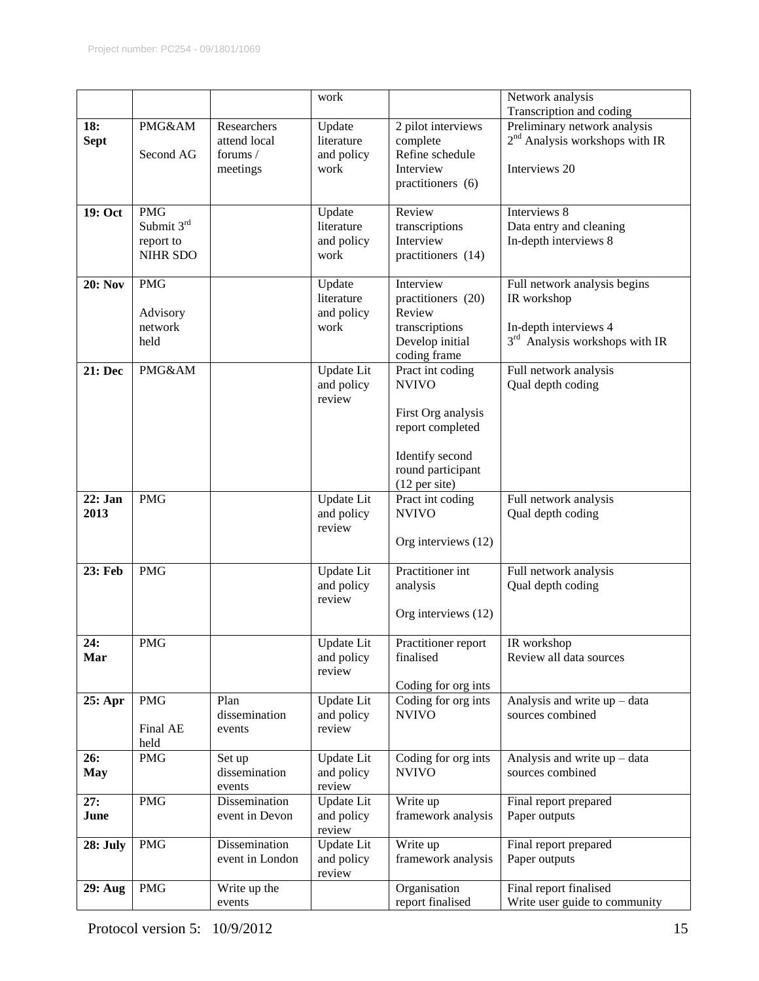|                    |                                                          |                                                     | work                                       |                                                                                                                                       | Network analysis                                                                                         |
|--------------------|----------------------------------------------------------|-----------------------------------------------------|--------------------------------------------|---------------------------------------------------------------------------------------------------------------------------------------|----------------------------------------------------------------------------------------------------------|
|                    |                                                          |                                                     |                                            |                                                                                                                                       | Transcription and coding                                                                                 |
| 18:<br><b>Sept</b> | PMG&AM<br>Second AG                                      | Researchers<br>attend local<br>forums /<br>meetings | Update<br>literature<br>and policy<br>work | 2 pilot interviews<br>complete<br>Refine schedule<br>Interview<br>practitioners (6)                                                   | Preliminary network analysis<br>$2nd$ Analysis workshops with IR<br>Interviews 20                        |
| 19: Oct            | <b>PMG</b><br>Submit 3rd<br>report to<br><b>NIHR SDO</b> |                                                     | Update<br>literature<br>and policy<br>work | Review<br>transcriptions<br>Interview<br>practitioners (14)                                                                           | Interviews 8<br>Data entry and cleaning<br>In-depth interviews 8                                         |
| <b>20: Nov</b>     | <b>PMG</b><br>Advisory<br>network<br>held                |                                                     | Update<br>literature<br>and policy<br>work | Interview<br>practitioners (20)<br>Review<br>transcriptions<br>Develop initial<br>coding frame                                        | Full network analysis begins<br>IR workshop<br>In-depth interviews 4<br>$3rd$ Analysis workshops with IR |
| 21: Dec            | PMG&AM                                                   |                                                     | Update Lit<br>and policy<br>review         | Pract int coding<br><b>NVIVO</b><br>First Org analysis<br>report completed<br>Identify second<br>round participant<br>$(12$ per site) | Full network analysis<br>Qual depth coding                                                               |
| 22: Jan<br>2013    | <b>PMG</b>                                               |                                                     | Update Lit<br>and policy<br>review         | Pract int coding<br><b>NVIVO</b><br>Org interviews (12)                                                                               | Full network analysis<br>Qual depth coding                                                               |
| 23: Feb            | <b>PMG</b>                                               |                                                     | Update Lit<br>and policy<br>review         | Practitioner int<br>analysis<br>Org interviews (12)                                                                                   | Full network analysis<br>Qual depth coding                                                               |
| 24:<br>Mar         | <b>PMG</b>                                               |                                                     | <b>Update</b> Lit<br>and policy<br>review  | Practitioner report<br>finalised<br>Coding for org ints                                                                               | IR workshop<br>Review all data sources                                                                   |
| 25: Apr            | <b>PMG</b><br>Final AE<br>held                           | Plan<br>dissemination<br>events                     | Update Lit<br>and policy<br>review         | Coding for org ints<br><b>NVIVO</b>                                                                                                   | Analysis and write up - data<br>sources combined                                                         |
| 26:<br><b>May</b>  | <b>PMG</b>                                               | Set up<br>dissemination<br>events                   | Update Lit<br>and policy<br>review         | Coding for org ints<br><b>NVIVO</b>                                                                                                   | Analysis and write $up - data$<br>sources combined                                                       |
| 27:<br>June        | <b>PMG</b>                                               | Dissemination<br>event in Devon                     | <b>Update</b> Lit<br>and policy<br>review  | Write up<br>framework analysis                                                                                                        | Final report prepared<br>Paper outputs                                                                   |
| 28: July           | <b>PMG</b>                                               | Dissemination<br>event in London                    | Update Lit<br>and policy<br>review         | Write up<br>framework analysis                                                                                                        | Final report prepared<br>Paper outputs                                                                   |
| <b>29: Aug</b>     | <b>PMG</b>                                               | Write up the<br>events                              |                                            | Organisation<br>report finalised                                                                                                      | Final report finalised<br>Write user guide to community                                                  |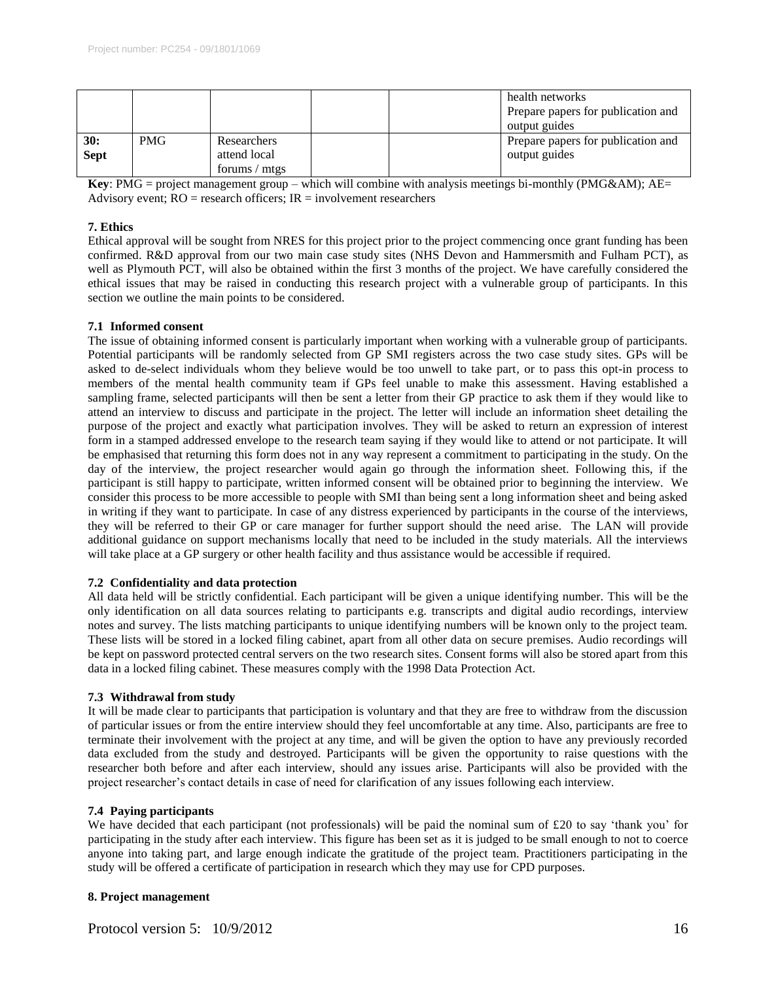|             |            |               |  | health networks<br>Prepare papers for publication and<br>output guides |
|-------------|------------|---------------|--|------------------------------------------------------------------------|
| 30:         | <b>PMG</b> | Researchers   |  | Prepare papers for publication and                                     |
| <b>Sept</b> |            | attend local  |  | output guides                                                          |
|             |            | forums / mtgs |  |                                                                        |

**Key**: PMG = project management group – which will combine with analysis meetings bi-monthly (PMG&AM); AE= Advisory event;  $RO =$  research officers;  $IR =$  involvement researchers

# **7. Ethics**

Ethical approval will be sought from NRES for this project prior to the project commencing once grant funding has been confirmed. R&D approval from our two main case study sites (NHS Devon and Hammersmith and Fulham PCT), as well as Plymouth PCT, will also be obtained within the first 3 months of the project. We have carefully considered the ethical issues that may be raised in conducting this research project with a vulnerable group of participants. In this section we outline the main points to be considered.

# **7.1 Informed consent**

The issue of obtaining informed consent is particularly important when working with a vulnerable group of participants. Potential participants will be randomly selected from GP SMI registers across the two case study sites. GPs will be asked to de-select individuals whom they believe would be too unwell to take part, or to pass this opt-in process to members of the mental health community team if GPs feel unable to make this assessment. Having established a sampling frame, selected participants will then be sent a letter from their GP practice to ask them if they would like to attend an interview to discuss and participate in the project. The letter will include an information sheet detailing the purpose of the project and exactly what participation involves. They will be asked to return an expression of interest form in a stamped addressed envelope to the research team saying if they would like to attend or not participate. It will be emphasised that returning this form does not in any way represent a commitment to participating in the study. On the day of the interview, the project researcher would again go through the information sheet. Following this, if the participant is still happy to participate, written informed consent will be obtained prior to beginning the interview. We consider this process to be more accessible to people with SMI than being sent a long information sheet and being asked in writing if they want to participate. In case of any distress experienced by participants in the course of the interviews, they will be referred to their GP or care manager for further support should the need arise. The LAN will provide additional guidance on support mechanisms locally that need to be included in the study materials. All the interviews will take place at a GP surgery or other health facility and thus assistance would be accessible if required.

# **7.2 Confidentiality and data protection**

All data held will be strictly confidential. Each participant will be given a unique identifying number. This will be the only identification on all data sources relating to participants e.g. transcripts and digital audio recordings, interview notes and survey. The lists matching participants to unique identifying numbers will be known only to the project team. These lists will be stored in a locked filing cabinet, apart from all other data on secure premises. Audio recordings will be kept on password protected central servers on the two research sites. Consent forms will also be stored apart from this data in a locked filing cabinet. These measures comply with the 1998 Data Protection Act.

# **7.3 Withdrawal from study**

It will be made clear to participants that participation is voluntary and that they are free to withdraw from the discussion of particular issues or from the entire interview should they feel uncomfortable at any time. Also, participants are free to terminate their involvement with the project at any time, and will be given the option to have any previously recorded data excluded from the study and destroyed. Participants will be given the opportunity to raise questions with the researcher both before and after each interview, should any issues arise. Participants will also be provided with the project researcher's contact details in case of need for clarification of any issues following each interview.

# **7.4 Paying participants**

We have decided that each participant (not professionals) will be paid the nominal sum of  $\text{\pounds}20$  to say 'thank you' for participating in the study after each interview. This figure has been set as it is judged to be small enough to not to coerce anyone into taking part, and large enough indicate the gratitude of the project team. Practitioners participating in the study will be offered a certificate of participation in research which they may use for CPD purposes.

### **8. Project management**

Protocol version 5:  $10/9/2012$  16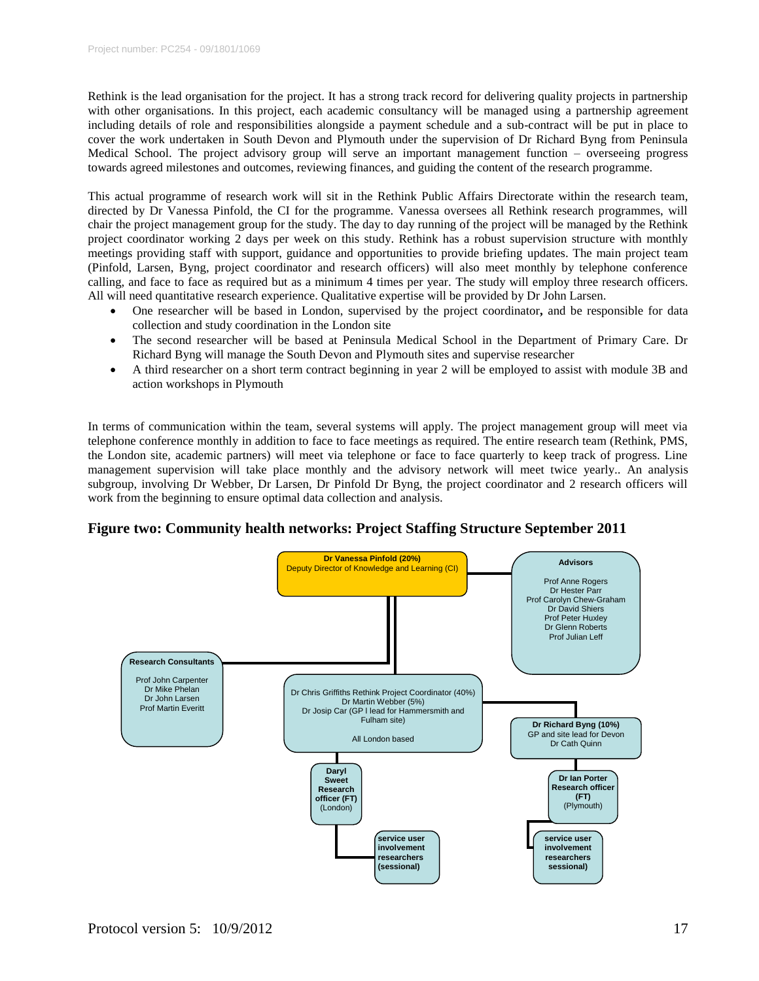Rethink is the lead organisation for the project. It has a strong track record for delivering quality projects in partnership with other organisations. In this project, each academic consultancy will be managed using a partnership agreement including details of role and responsibilities alongside a payment schedule and a sub-contract will be put in place to cover the work undertaken in South Devon and Plymouth under the supervision of Dr Richard Byng from Peninsula Medical School. The project advisory group will serve an important management function – overseeing progress towards agreed milestones and outcomes, reviewing finances, and guiding the content of the research programme.

This actual programme of research work will sit in the Rethink Public Affairs Directorate within the research team, directed by Dr Vanessa Pinfold, the CI for the programme. Vanessa oversees all Rethink research programmes, will chair the project management group for the study. The day to day running of the project will be managed by the Rethink project coordinator working 2 days per week on this study. Rethink has a robust supervision structure with monthly meetings providing staff with support, guidance and opportunities to provide briefing updates. The main project team (Pinfold, Larsen, Byng, project coordinator and research officers) will also meet monthly by telephone conference calling, and face to face as required but as a minimum 4 times per year. The study will employ three research officers. All will need quantitative research experience. Qualitative expertise will be provided by Dr John Larsen.

- One researcher will be based in London, supervised by the project coordinator**,** and be responsible for data collection and study coordination in the London site
- The second researcher will be based at Peninsula Medical School in the Department of Primary Care. Dr Richard Byng will manage the South Devon and Plymouth sites and supervise researcher
- A third researcher on a short term contract beginning in year 2 will be employed to assist with module 3B and action workshops in Plymouth

In terms of communication within the team, several systems will apply. The project management group will meet via telephone conference monthly in addition to face to face meetings as required. The entire research team (Rethink, PMS, the London site, academic partners) will meet via telephone or face to face quarterly to keep track of progress. Line management supervision will take place monthly and the advisory network will meet twice yearly.. An analysis subgroup, involving Dr Webber, Dr Larsen, Dr Pinfold Dr Byng, the project coordinator and 2 research officers will work from the beginning to ensure optimal data collection and analysis.

# **Figure two: Community health networks: Project Staffing Structure September 2011**

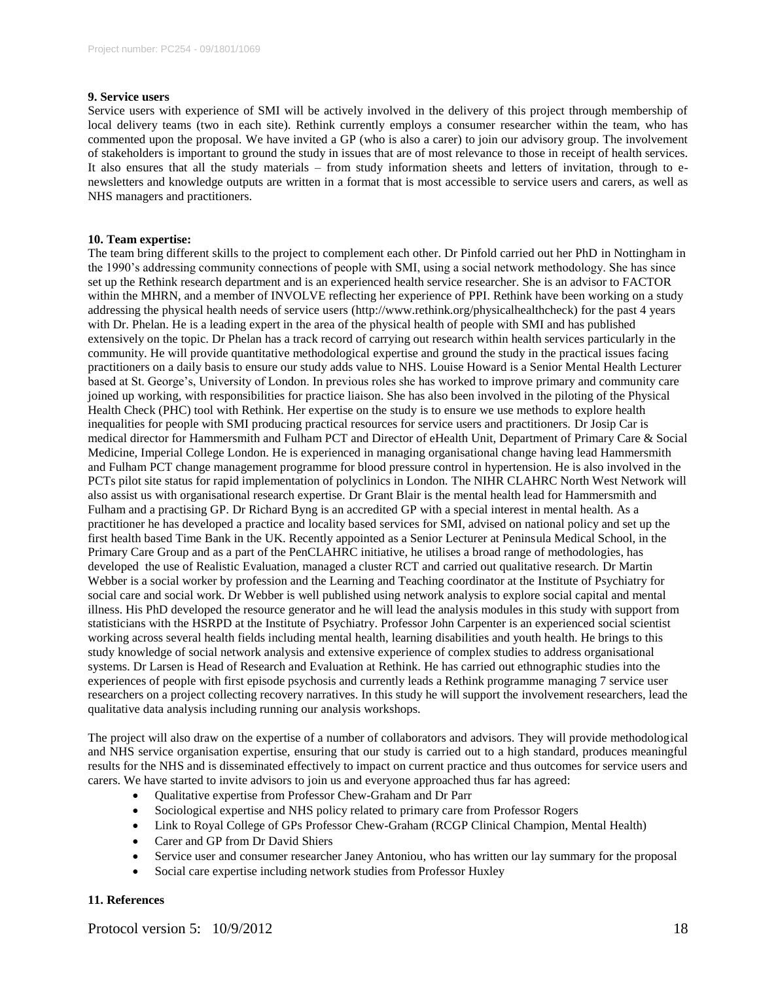## **9. Service users**

Service users with experience of SMI will be actively involved in the delivery of this project through membership of local delivery teams (two in each site). Rethink currently employs a consumer researcher within the team, who has commented upon the proposal. We have invited a GP (who is also a carer) to join our advisory group. The involvement of stakeholders is important to ground the study in issues that are of most relevance to those in receipt of health services. It also ensures that all the study materials – from study information sheets and letters of invitation, through to enewsletters and knowledge outputs are written in a format that is most accessible to service users and carers, as well as NHS managers and practitioners.

### **10. Team expertise:**

The team bring different skills to the project to complement each other. Dr Pinfold carried out her PhD in Nottingham in the 1990's addressing community connections of people with SMI, using a social network methodology. She has since set up the Rethink research department and is an experienced health service researcher. She is an advisor to FACTOR within the MHRN, and a member of INVOLVE reflecting her experience of PPI. Rethink have been working on a study addressing the physical health needs of service users (http://www.rethink.org/physicalhealthcheck) for the past 4 years with Dr. Phelan. He is a leading expert in the area of the physical health of people with SMI and has published extensively on the topic. Dr Phelan has a track record of carrying out research within health services particularly in the community. He will provide quantitative methodological expertise and ground the study in the practical issues facing practitioners on a daily basis to ensure our study adds value to NHS. Louise Howard is a Senior Mental Health Lecturer based at St. George's, University of London. In previous roles she has worked to improve primary and community care joined up working, with responsibilities for practice liaison. She has also been involved in the piloting of the Physical Health Check (PHC) tool with Rethink. Her expertise on the study is to ensure we use methods to explore health inequalities for people with SMI producing practical resources for service users and practitioners. Dr Josip Car is medical director for Hammersmith and Fulham PCT and Director of eHealth Unit, Department of Primary Care & Social Medicine, Imperial College London. He is experienced in managing organisational change having lead Hammersmith and Fulham PCT change management programme for blood pressure control in hypertension. He is also involved in the PCTs pilot site status for rapid implementation of polyclinics in London. The NIHR CLAHRC North West Network will also assist us with organisational research expertise. Dr Grant Blair is the mental health lead for Hammersmith and Fulham and a practising GP. Dr Richard Byng is an accredited GP with a special interest in mental health. As a practitioner he has developed a practice and locality based services for SMI, advised on national policy and set up the first health based Time Bank in the UK. Recently appointed as a Senior Lecturer at Peninsula Medical School, in the Primary Care Group and as a part of the PenCLAHRC initiative, he utilises a broad range of methodologies, has developed the use of Realistic Evaluation, managed a cluster RCT and carried out qualitative research. Dr Martin Webber is a social worker by profession and the Learning and Teaching coordinator at the Institute of Psychiatry for social care and social work. Dr Webber is well published using network analysis to explore social capital and mental illness. His PhD developed the resource generator and he will lead the analysis modules in this study with support from statisticians with the HSRPD at the Institute of Psychiatry. Professor John Carpenter is an experienced social scientist working across several health fields including mental health, learning disabilities and youth health. He brings to this study knowledge of social network analysis and extensive experience of complex studies to address organisational systems. Dr Larsen is Head of Research and Evaluation at Rethink. He has carried out ethnographic studies into the experiences of people with first episode psychosis and currently leads a Rethink programme managing 7 service user researchers on a project collecting recovery narratives. In this study he will support the involvement researchers, lead the qualitative data analysis including running our analysis workshops.

The project will also draw on the expertise of a number of collaborators and advisors. They will provide methodological and NHS service organisation expertise, ensuring that our study is carried out to a high standard, produces meaningful results for the NHS and is disseminated effectively to impact on current practice and thus outcomes for service users and carers. We have started to invite advisors to join us and everyone approached thus far has agreed:

- Qualitative expertise from Professor Chew-Graham and Dr Parr
- Sociological expertise and NHS policy related to primary care from Professor Rogers
- Link to Royal College of GPs Professor Chew-Graham (RCGP Clinical Champion, Mental Health)
- Carer and GP from Dr David Shiers
- Service user and consumer researcher Janey Antoniou, who has written our lay summary for the proposal
- Social care expertise including network studies from Professor Huxley

# **11. References**

Protocol version 5:  $10/9/2012$  18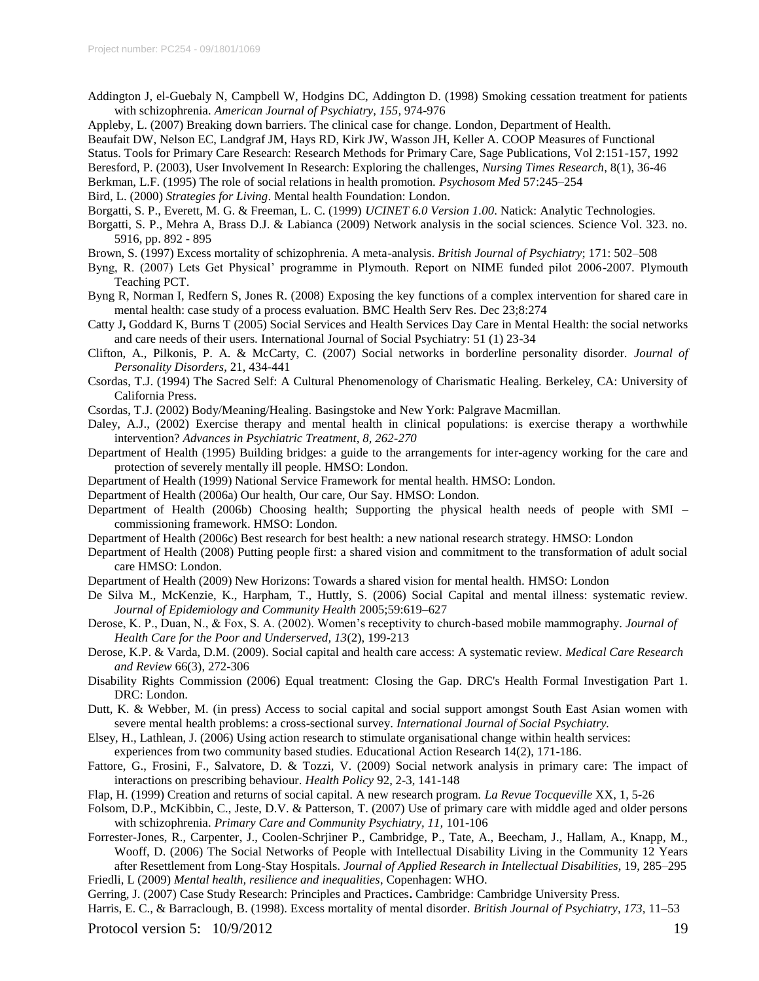- Addington J, el-Guebaly N, Campbell W, Hodgins DC, Addington D. (1998) Smoking cessation treatment for patients with schizophrenia. *American Journal of Psychiatry, 155,* 974-976
- Appleby, L. (2007) Breaking down barriers. The clinical case for change. London, Department of Health.
- Beaufait DW, Nelson EC, Landgraf JM, Hays RD, Kirk JW, Wasson JH, Keller A. COOP Measures of Functional

Status. Tools for Primary Care Research: Research Methods for Primary Care, Sage Publications, Vol 2:151-157, 1992

- Beresford, P. (2003), User Involvement In Research: Exploring the challenges, *Nursing Times Research*, 8(1), 36-46
- Berkman, L.F. (1995) The role of social relations in health promotion. *Psychosom Med* 57:245–254

Bird, L. (2000) *Strategies for Living*. Mental health Foundation: London.

Borgatti, S. P., Everett, M. G. & Freeman, L. C. (1999) *UCINET 6.0 Version 1.00*. Natick: Analytic Technologies.

- Borgatti, S. P., Mehra A, Brass D.J. & Labianca (2009) Network analysis in the social sciences. Science Vol. 323. no. 5916, pp. 892 - 895
- Brown, S. (1997) Excess mortality of schizophrenia. A meta-analysis. *British Journal of Psychiatry*; 171: 502–508
- Byng, R. (2007) Lets Get Physical' programme in Plymouth. Report on NIME funded pilot 2006-2007. Plymouth Teaching PCT.
- Byng R, Norman I, Redfern S, Jones R. (2008) [Exposing the key functions of a complex intervention for shared care in](http://www.ncbi.nlm.nih.gov/pubmed/19105823?ordinalpos=1&itool=Email.EmailReport.Pubmed_ReportSelector.Pubmed_RVDocSum)  [mental health: case study of a process evaluation.](http://www.ncbi.nlm.nih.gov/pubmed/19105823?ordinalpos=1&itool=Email.EmailReport.Pubmed_ReportSelector.Pubmed_RVDocSum) BMC Health Serv Res. Dec 23;8:274
- Catty J**,** Goddard K, Burns T (2005) Social Services and Health Services Day Care in Mental Health: the social networks and care needs of their users*.* International Journal of Social Psychiatry: 51 (1) 23-34
- Clifton, A., Pilkonis, P. A. & McCarty, C. (2007) Social networks in borderline personality disorder. *Journal of Personality Disorders*, 21, 434-441
- Csordas, T.J. (1994) The Sacred Self: A Cultural Phenomenology of Charismatic Healing. Berkeley, CA: University of California Press.
- Csordas, T.J. (2002) Body/Meaning/Healing. Basingstoke and New York: Palgrave Macmillan.
- Daley, A.J., (2002) Exercise therapy and mental health in clinical populations: is exercise therapy a worthwhile intervention? *Advances in Psychiatric Treatment, 8, 262-270*
- Department of Health (1995) Building bridges: a guide to the arrangements for inter-agency working for the care and protection of severely mentally ill people. HMSO: London.
- Department of Health (1999) National Service Framework for mental health. HMSO: London.
- Department of Health (2006a) Our health, Our care, Our Say. HMSO: London.
- Department of Health (2006b) Choosing health; Supporting the physical health needs of people with SMI commissioning framework. HMSO: London.
- Department of Health (2006c) Best research for best health: a new national research strategy. HMSO: London
- Department of Health (2008) Putting people first: a shared vision and commitment to the transformation of adult social care HMSO: London.
- Department of Health (2009) New Horizons: Towards a shared vision for mental health. HMSO: London
- De Silva M., McKenzie, K., Harpham, T., Huttly, S. (2006) Social Capital and mental illness: systematic review. *Journal of Epidemiology and Community Health* 2005;59:619–627
- Derose, K. P., Duan, N., & Fox, S. A. (2002). Women's receptivity to church-based mobile mammography. *Journal of Health Care for the Poor and Underserved, 13*(2), 199-213
- Derose, K.P. & Varda, D.M. (2009). Social capital and health care access: A systematic review. *Medical Care Research and Review* 66(3), 272-306
- Disability Rights Commission (2006) Equal treatment: Closing the Gap. DRC's Health Formal Investigation Part 1. DRC: London.
- Dutt, K. & Webber, M. (in press) Access to social capital and social support amongst South East Asian women with severe mental health problems: a cross-sectional survey. *International Journal of Social Psychiatry.*
- Elsey, H., Lathlean, J. (2006) Using action research to stimulate organisational change within health services: experiences from two community based studies. Educational Action Research 14(2), 171-186.
- Fattore, G., Frosini, F., Salvatore, D. & Tozzi, V. (2009) Social network analysis in primary care: The impact of interactions on prescribing behaviour. *Health Policy* 92, 2-3, 141-148
- Flap, H. (1999) Creation and returns of social capital. A new research program. *La Revue Tocqueville* XX, 1, 5-26
- Folsom, D.P., McKibbin, C., Jeste, D.V. & Patterson, T. (2007) Use of primary care with middle aged and older persons with schizophrenia. *Primary Care and Community Psychiatry, 11,* 101-106
- Forrester-Jones, R., Carpenter, J., Coolen-Schrjiner P., Cambridge, P., Tate, A., Beecham, J., Hallam, A., Knapp, M., Wooff, D. (2006) The Social Networks of People with Intellectual Disability Living in the Community 12 Years after Resettlement from Long-Stay Hospitals. *Journal of Applied Research in Intellectual Disabilities*, 19, 285–295
- Friedli, L (2009) *Mental health, resilience and inequalities*, Copenhagen: WHO.

Gerring, J. (2007) Case Study Research: Principles and Practices**.** Cambridge: Cambridge University Press.

Harris, E. C., & Barraclough, B. (1998). Excess mortality of mental disorder. *British Journal of Psychiatry, 173,* 11–53

Protocol version 5:  $10/9/2012$  19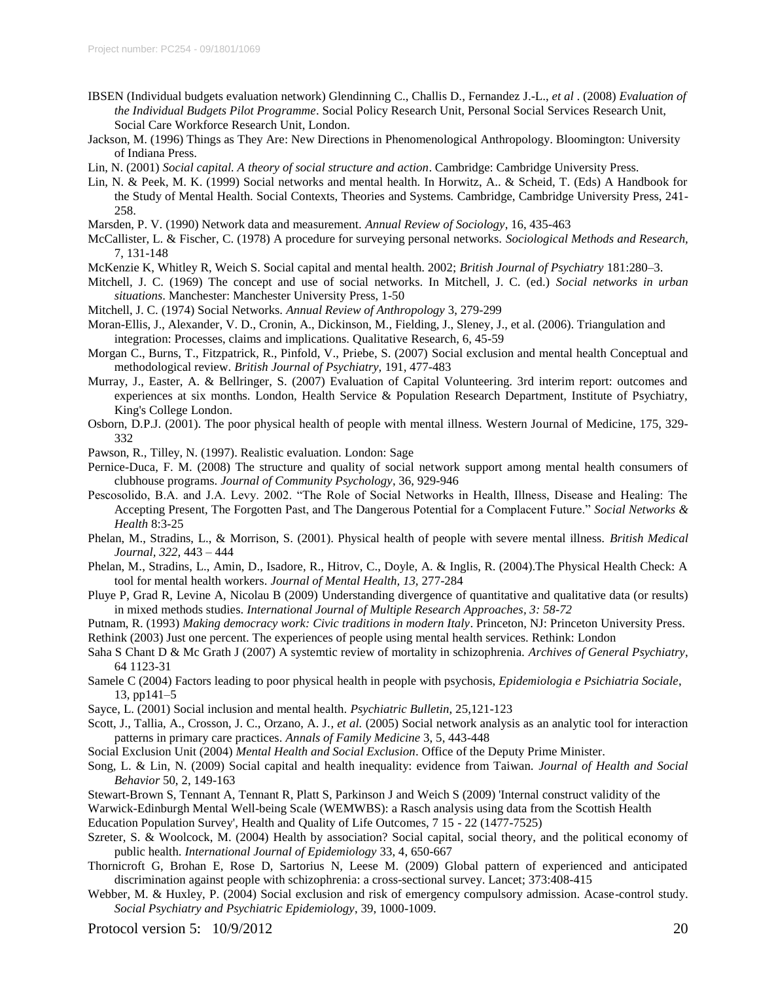- IBSEN (Individual budgets evaluation network) Glendinning C., Challis D., Fernandez J.-L., *et al* . (2008) *Evaluation of the Individual Budgets Pilot Programme*. Social Policy Research Unit, Personal Social Services Research Unit, Social Care Workforce Research Unit, London.
- Jackson, M. (1996) Things as They Are: New Directions in Phenomenological Anthropology. Bloomington: University of Indiana Press.
- Lin, N. (2001) *Social capital. A theory of social structure and action*. Cambridge: Cambridge University Press.
- Lin, N. & Peek, M. K. (1999) Social networks and mental health. In Horwitz, A.. & Scheid, T. (Eds) A Handbook for the Study of Mental Health. Social Contexts, Theories and Systems*.* Cambridge, Cambridge University Press, 241- 258.
- Marsden, P. V. (1990) Network data and measurement. *Annual Review of Sociology*, 16, 435-463

McCallister, L. & Fischer, C. (1978) A procedure for surveying personal networks. *Sociological Methods and Research,* 7, 131-148

- McKenzie K, Whitley R, Weich S. Social capital and mental health. 2002; *British Journal of Psychiatry* 181:280–3.
- Mitchell, J. C. (1969) The concept and use of social networks. In Mitchell, J. C. (ed.) *Social networks in urban situations*. Manchester: Manchester University Press, 1-50
- Mitchell, J. C. (1974) Social Networks. *Annual Review of Anthropology* 3, 279-299
- Moran-Ellis, J., Alexander, V. D., Cronin, A., Dickinson, M., Fielding, J., Sleney, J., et al. (2006). Triangulation and integration: Processes, claims and implications. Qualitative Research, 6, 45-59
- Morgan C., Burns, T., Fitzpatrick, R., Pinfold, V., Priebe, S. (2007) Social exclusion and mental health Conceptual and methodological review. *British Journal of Psychiatry,* 191, 477-483
- Murray, J., Easter, A. & Bellringer, S. (2007) Evaluation of Capital Volunteering. 3rd interim report: outcomes and experiences at six months. London, Health Service & Population Research Department, Institute of Psychiatry, King's College London.
- Osborn, D.P.J. (2001). The poor physical health of people with mental illness. Western Journal of Medicine, 175, 329- 332
- Pawson, R., Tilley, N. (1997). Realistic evaluation. London: Sage
- Pernice-Duca, F. M. (2008) The structure and quality of social network support among mental health consumers of clubhouse programs. *Journal of Community Psychology*, 36, 929-946
- Pescosolido, B.A. and J.A. Levy. 2002. "The Role of Social Networks in Health, Illness, Disease and Healing: The Accepting Present, The Forgotten Past, and The Dangerous Potential for a Complacent Future." *Social Networks & Health* 8:3-25
- Phelan, M., Stradins, L., & Morrison, S. (2001). Physical health of people with severe mental illness. *British Medical Journal, 322,* 443 – 444
- Phelan, M., Stradins, L., Amin, D., Isadore, R., Hitrov, C., Doyle, A. & Inglis, R. (2004).The Physical Health Check: A tool for mental health workers. *Journal of Mental Health, 13,* 277-284
- Pluye P, Grad R, Levine A, Nicolau B (2009) Understanding divergence of quantitative and qualitative data (or results) in mixed methods studies. *International Journal of Multiple Research Approaches, 3: 58-72*

Putnam, R. (1993) *Making democracy work: Civic traditions in modern Italy*. Princeton, NJ: Princeton University Press.

Rethink (2003) Just one percent. The experiences of people using mental health services. Rethink: London

- Saha S Chant D & Mc Grath J (2007) A systemtic review of mortality in schizophrenia. *Archives of General Psychiatry*, 64 1123-31
- Samele C (2004) Factors leading to poor physical health in people with psychosis, *Epidemiologia e Psichiatria Sociale*, 13, pp141–5
- Sayce, L. (2001) Social inclusion and mental health. *Psychiatric Bulletin*, 25,121-123
- Scott, J., Tallia, A., Crosson, J. C., Orzano, A. J.*, et al.* (2005) Social network analysis as an analytic tool for interaction patterns in primary care practices. *Annals of Family Medicine* 3, 5, 443-448
- Social Exclusion Unit (2004) *Mental Health and Social Exclusion*. Office of the Deputy Prime Minister.
- Song, L. & Lin, N. (2009) Social capital and health inequality: evidence from Taiwan. *Journal of Health and Social Behavior* 50, 2, 149-163
- Stewart-Brown S, Tennant A, Tennant R, Platt S, Parkinson J and Weich S (2009) 'Internal construct validity of the

Warwick-Edinburgh Mental Well-being Scale (WEMWBS): a Rasch analysis using data from the Scottish Health Education Population Survey', Health and Quality of Life Outcomes, 7 15 - 22 (1477-7525)

- Szreter, S. & Woolcock, M. (2004) Health by association? Social capital, social theory, and the political economy of public health. *International Journal of Epidemiology* 33, 4, 650-667
- Thornicroft G, Brohan E, Rose D, Sartorius N, Leese M. (2009) Global pattern of experienced and anticipated discrimination against people with schizophrenia: a cross-sectional survey. Lancet; 373:408-415
- Webber, M. & Huxley, P. (2004) Social exclusion and risk of emergency compulsory admission. Acase-control study. *Social Psychiatry and Psychiatric Epidemiology*, 39, 1000-1009.